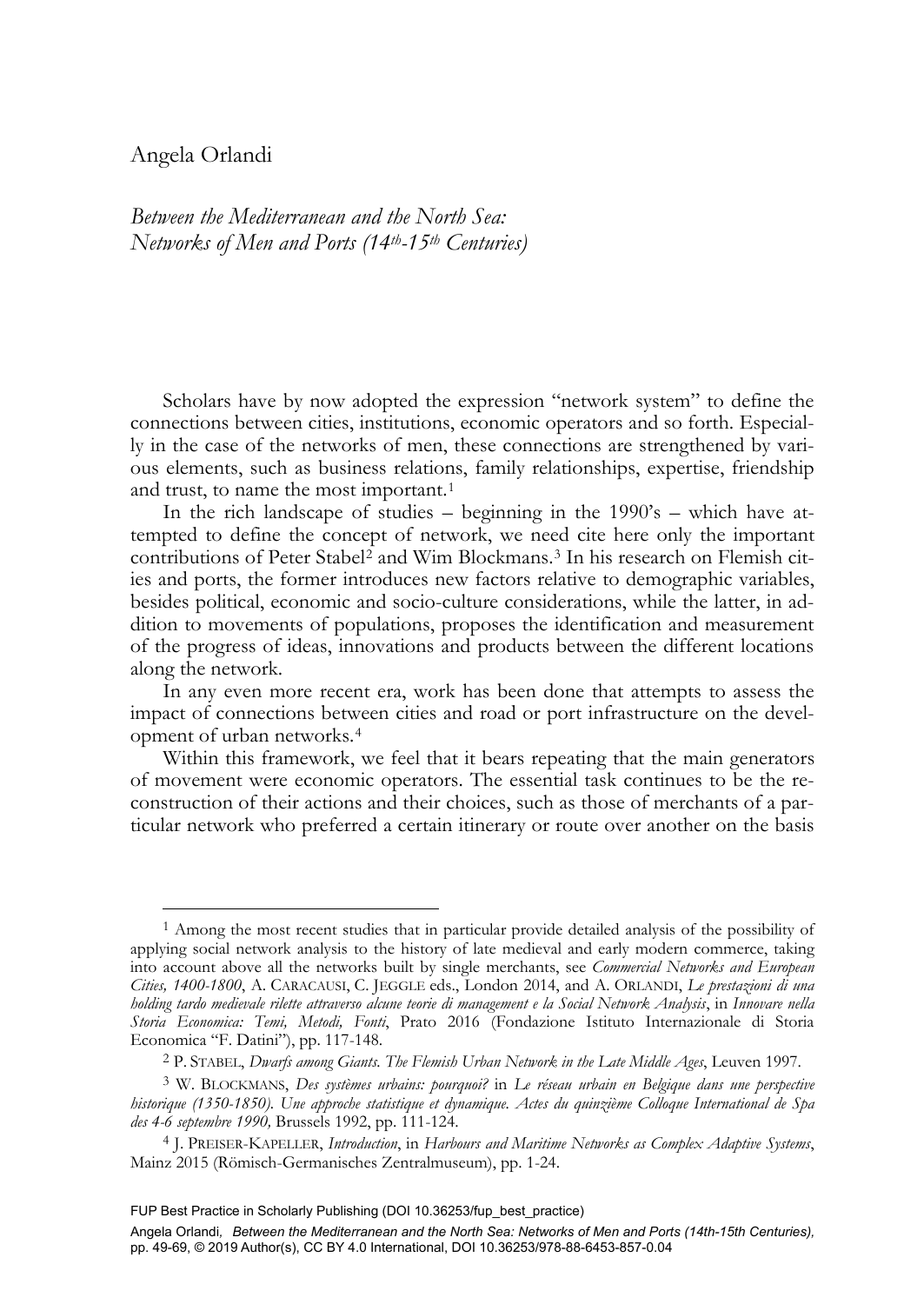# Angela Orlandi

-

*Between the Mediterranean and the North Sea: Networks of Men and Ports (14th-15th Centuries)* 

Scholars have by now adopted the expression "network system" to define the connections between cities, institutions, economic operators and so forth. Especially in the case of the networks of men, these connections are strengthened by various elements, such as business relations, family relationships, expertise, friendship and trust, to name the most important.<sup>1</sup>

In the rich landscape of studies – beginning in the 1990's – which have attempted to define the concept of network, we need cite here only the important contributions of Peter Stabel<sup>2</sup> and Wim Blockmans.<sup>3</sup> In his research on Flemish cities and ports, the former introduces new factors relative to demographic variables, besides political, economic and socio-culture considerations, while the latter, in addition to movements of populations, proposes the identification and measurement of the progress of ideas, innovations and products between the different locations along the network.

In any even more recent era, work has been done that attempts to assess the impact of connections between cities and road or port infrastructure on the development of urban networks.<sup>4</sup>

Within this framework, we feel that it bears repeating that the main generators of movement were economic operators. The essential task continues to be the reconstruction of their actions and their choices, such as those of merchants of a particular network who preferred a certain itinerary or route over another on the basis

<sup>1</sup> Among the most recent studies that in particular provide detailed analysis of the possibility of applying social network analysis to the history of late medieval and early modern commerce, taking into account above all the networks built by single merchants, see *Commercial Networks and European Cities, 1400-1800*, A. CARACAUSI, C. JEGGLE eds., London 2014, and A. ORLANDI, *Le prestazioni di una holding tardo medievale rilette attraverso alcune teorie di management e la Social Network Analysis*, in *Innovare nella Storia Economica: Temi, Metodi, Fonti*, Prato 2016 (Fondazione Istituto Internazionale di Storia

<sup>&</sup>lt;sup>2</sup> P. STABEL, *Dwarfs among Giants. The Flemish Urban Network in the Late Middle Ages*, Leuven 1997.

<sup>3</sup> W. BLOCKMANS, *Des systèmes urbains: pourquoi?* in *Le réseau urbain en Belgique dans une perspective historique (1350-1850). Une approche statistique et dynamique. Actes du quinzième Colloque International de Spa des 4-6 septembre 1990,* Brussels 1992, pp. 111-124.

<sup>4</sup> J. PREISER-KAPELLER, *Introduction*, in *Harbours and Maritime Networks as Complex Adaptive Systems*, Mainz 2015 (Römisch-Germanisches Zentralmuseum), pp. 1-24.

FUP Best Practice in Scholarly Publishing (DOI [10.36253/fup\\_best\\_practice\)](https://doi.org/10.36253/fup_best_practice)

Angela Orlandi*, Between the Mediterranean and the North Sea: Networks of Men and Ports (14th-15th Centuries),* pp. 49-69, © 2019 Author(s), [CC BY 4.0 International,](http://creativecommons.org/licenses/by/4.0/legalcode) DOI [10.36253/978-88-6453-857-0.04](https://doi.org/10.36253/978-88-6453-857-0.04)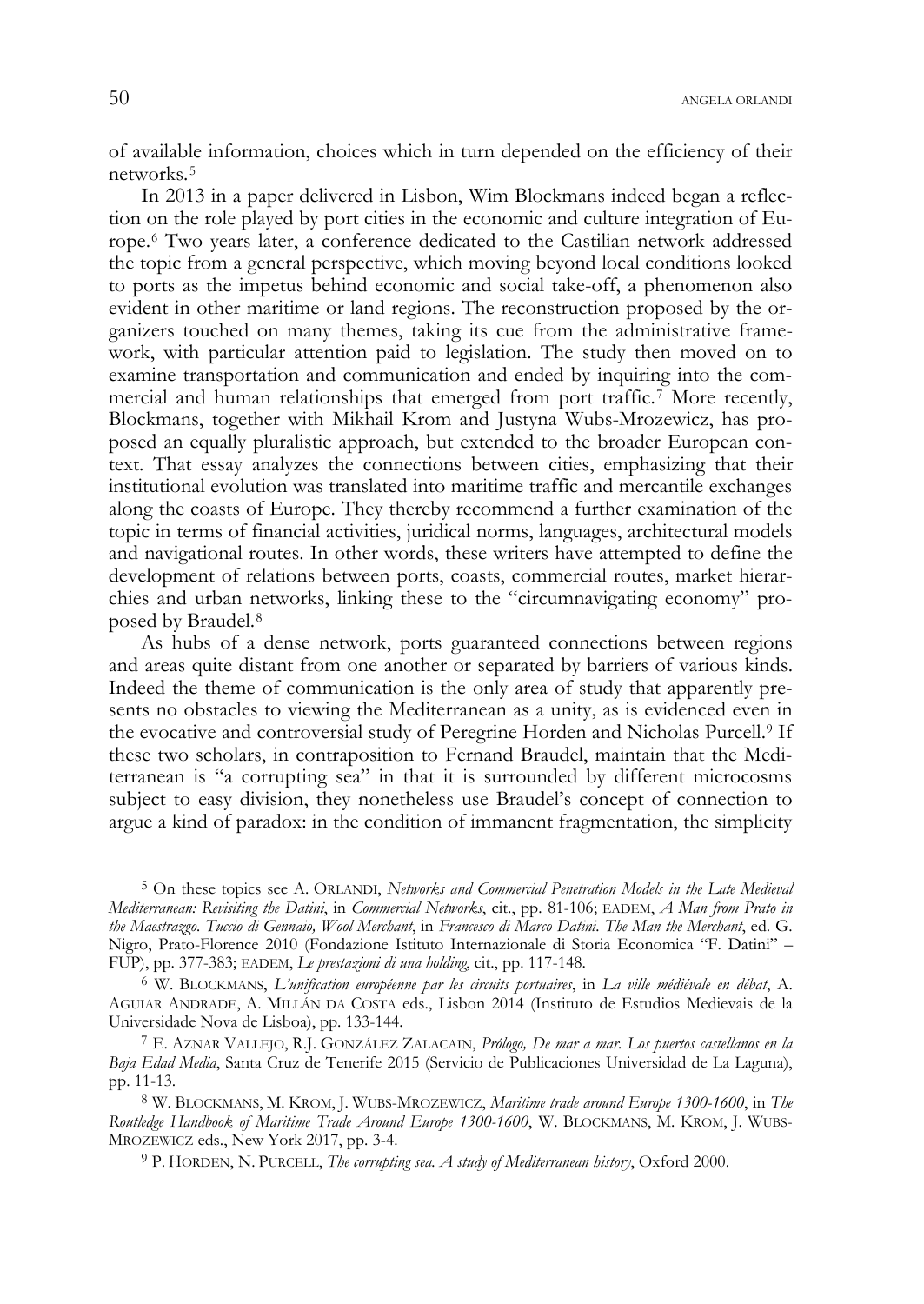of available information, choices which in turn depended on the efficiency of their networks.<sup>5</sup>

In 2013 in a paper delivered in Lisbon, Wim Blockmans indeed began a reflection on the role played by port cities in the economic and culture integration of Europe.<sup>6</sup> Two years later, a conference dedicated to the Castilian network addressed the topic from a general perspective, which moving beyond local conditions looked to ports as the impetus behind economic and social take-off, a phenomenon also evident in other maritime or land regions. The reconstruction proposed by the organizers touched on many themes, taking its cue from the administrative framework, with particular attention paid to legislation. The study then moved on to examine transportation and communication and ended by inquiring into the commercial and human relationships that emerged from port traffic.<sup>7</sup> More recently, Blockmans, together with Mikhail Krom and Justyna Wubs-Mrozewicz, has proposed an equally pluralistic approach, but extended to the broader European context. That essay analyzes the connections between cities, emphasizing that their institutional evolution was translated into maritime traffic and mercantile exchanges along the coasts of Europe. They thereby recommend a further examination of the topic in terms of financial activities, juridical norms, languages, architectural models and navigational routes. In other words, these writers have attempted to define the development of relations between ports, coasts, commercial routes, market hierarchies and urban networks, linking these to the "circumnavigating economy" proposed by Braudel.<sup>8</sup>

As hubs of a dense network, ports guaranteed connections between regions and areas quite distant from one another or separated by barriers of various kinds. Indeed the theme of communication is the only area of study that apparently presents no obstacles to viewing the Mediterranean as a unity, as is evidenced even in the evocative and controversial study of Peregrine Horden and Nicholas Purcell.<sup>9</sup> If these two scholars, in contraposition to Fernand Braudel, maintain that the Mediterranean is "a corrupting sea" in that it is surrounded by different microcosms subject to easy division, they nonetheless use Braudel's concept of connection to argue a kind of paradox: in the condition of immanent fragmentation, the simplicity

j

<sup>5</sup> On these topics see A. ORLANDI, *Networks and Commercial Penetration Models in the Late Medieval Mediterranean: Revisiting the Datini*, in *Commercial Networks*, cit., pp. 81-106; EADEM, *A Man from Prato in the Maestrazgo. Tuccio di Gennaio, Wool Merchant*, in *Francesco di Marco Datini. The Man the Merchant*, ed. G. Nigro, Prato-Florence 2010 (Fondazione Istituto Internazionale di Storia Economica "F. Datini" – FUP), pp. 377-383; EADEM, *Le prestazioni di una holding*, cit., pp. 117-148.

<sup>6</sup> W. BLOCKMANS, *L'unification européenne par les circuits portuaires*, in *La ville médiévale en débat*, A. AGUIAR ANDRADE, A. MILLÁN DA COSTA eds., Lisbon 2014 (Instituto de Estudios Medievais de la

<sup>&</sup>lt;sup>7</sup> E. AZNAR VALLEJO, R.J. GONZÁLEZ ZALACAIN, *Prólogo, De mar a mar. Los puertos castellanos en la Baja Edad Media*, Santa Cruz de Tenerife 2015 (Servicio de Publicaciones Universidad de La Laguna), pp. 11-13.

<sup>8</sup> W. BLOCKMANS, M. KROM, J. WUBS-MROZEWICZ, *Maritime trade around Europe 1300-1600*, in *The Routledge Handbook of Maritime Trade Around Europe 1300-1600*, W. BLOCKMANS, M. KROM, J. WUBS-MROZEWICZ eds., New York 2017, pp. 3-4.

<sup>9</sup> P. HORDEN, N. PURCELL, *The corrupting sea. A study of Mediterranean history*, Oxford 2000.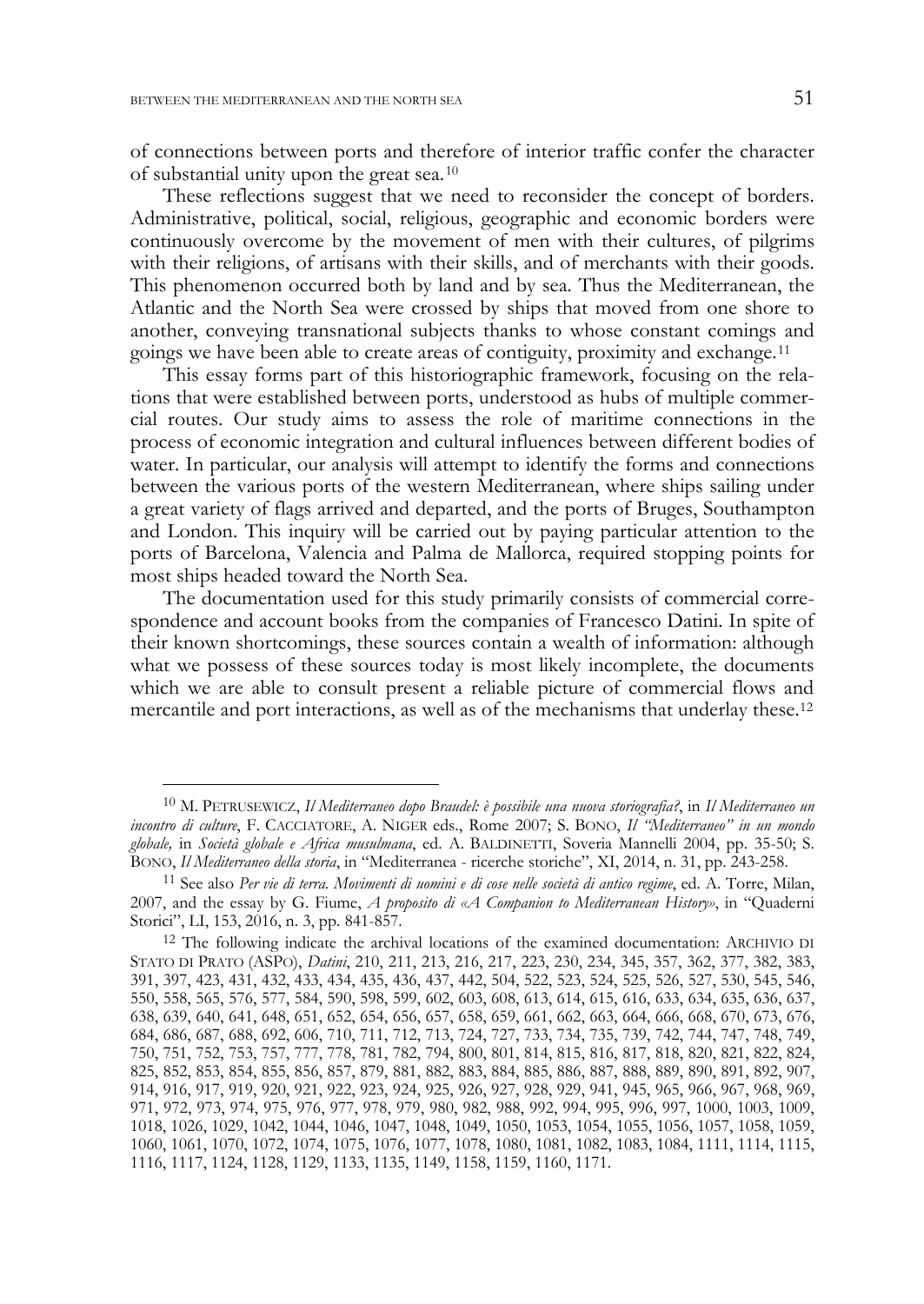j

of connections between ports and therefore of interior traffic confer the character of substantial unity upon the great sea. $10$ 

These reflections suggest that we need to reconsider the concept of borders. Administrative, political, social, religious, geographic and economic borders were continuously overcome by the movement of men with their cultures, of pilgrims with their religions, of artisans with their skills, and of merchants with their goods. This phenomenon occurred both by land and by sea. Thus the Mediterranean, the Atlantic and the North Sea were crossed by ships that moved from one shore to another, conveying transnational subjects thanks to whose constant comings and goings we have been able to create areas of contiguity, proximity and exchange.<sup>11</sup>

This essay forms part of this historiographic framework, focusing on the relations that were established between ports, understood as hubs of multiple commercial routes. Our study aims to assess the role of maritime connections in the process of economic integration and cultural influences between different bodies of water. In particular, our analysis will attempt to identify the forms and connections between the various ports of the western Mediterranean, where ships sailing under a great variety of flags arrived and departed, and the ports of Bruges, Southampton and London. This inquiry will be carried out by paying particular attention to the ports of Barcelona, Valencia and Palma de Mallorca, required stopping points for most ships headed toward the North Sea.

The documentation used for this study primarily consists of commercial correspondence and account books from the companies of Francesco Datini. In spite of their known shortcomings, these sources contain a wealth of information: although what we possess of these sources today is most likely incomplete, the documents which we are able to consult present a reliable picture of commercial flows and mercantile and port interactions, as well as of the mechanisms that underlay these.<sup>12</sup>

<sup>10</sup> M. PETRUSEWICZ, *Il Mediterraneo dopo Braudel: è possibile una nuova storiografia?*, in *Il Mediterraneo un incontro di culture*, F. CACCIATORE, A. NIGER eds., Rome 2007; S. BONO, *Il "Mediterraneo" in un mondo*  globale, in *Società globale e Africa musulmana*, ed. A. BALDINETTI, Soveria Mannelli 2004, pp. 35-50; S. BONO, Il Mediterraneo della storia, in "Mediterranea - ricerche storiche", XI, 2014, n. 31, pp. 243-258.

<sup>&</sup>lt;sup>11</sup> See also Per vie di terra. Movimenti di uomini e di cose nelle società di antico regime, ed. A. Torre, Milan, 2007, and the essay by G. Fiume, *A proposito di «A Companion to Mediterranean History»*, in "Quaderni Storici", LI, 153, 2016, n. 3, pp. 841-857.<br><sup>12</sup> The following indicate the archival locations of the examined documentation: ARCHIVIO DI

STATO DI PRATO (ASPO), *Datini*, 210, 211, 213, 216, 217, 223, 230, 234, 345, 357, 362, 377, 382, 383, 391, 397, 423, 431, 432, 433, 434, 435, 436, 437, 442, 504, 522, 523, 524, 525, 526, 527, 530, 545, 546, 550, 558, 565, 576, 577, 584, 590, 598, 599, 602, 603, 608, 613, 614, 615, 616, 633, 634, 635, 636, 637, 638, 639, 640, 641, 648, 651, 652, 654, 656, 657, 658, 659, 661, 662, 663, 664, 666, 668, 670, 673, 676, 684, 686, 687, 688, 692, 606, 710, 711, 712, 713, 724, 727, 733, 734, 735, 739, 742, 744, 747, 748, 749, 750, 751, 752, 753, 757, 777, 778, 781, 782, 794, 800, 801, 814, 815, 816, 817, 818, 820, 821, 822, 824, 825, 852, 853, 854, 855, 856, 857, 879, 881, 882, 883, 884, 885, 886, 887, 888, 889, 890, 891, 892, 907, 914, 916, 917, 919, 920, 921, 922, 923, 924, 925, 926, 927, 928, 929, 941, 945, 965, 966, 967, 968, 969, 971, 972, 973, 974, 975, 976, 977, 978, 979, 980, 982, 988, 992, 994, 995, 996, 997, 1000, 1003, 1009, 1018, 1026, 1029, 1042, 1044, 1046, 1047, 1048, 1049, 1050, 1053, 1054, 1055, 1056, 1057, 1058, 1059, 1060, 1061, 1070, 1072, 1074, 1075, 1076, 1077, 1078, 1080, 1081, 1082, 1083, 1084, 1111, 1114, 1115, 1116, 1117, 1124, 1128, 1129, 1133, 1135, 1149, 1158, 1159, 1160, 1171.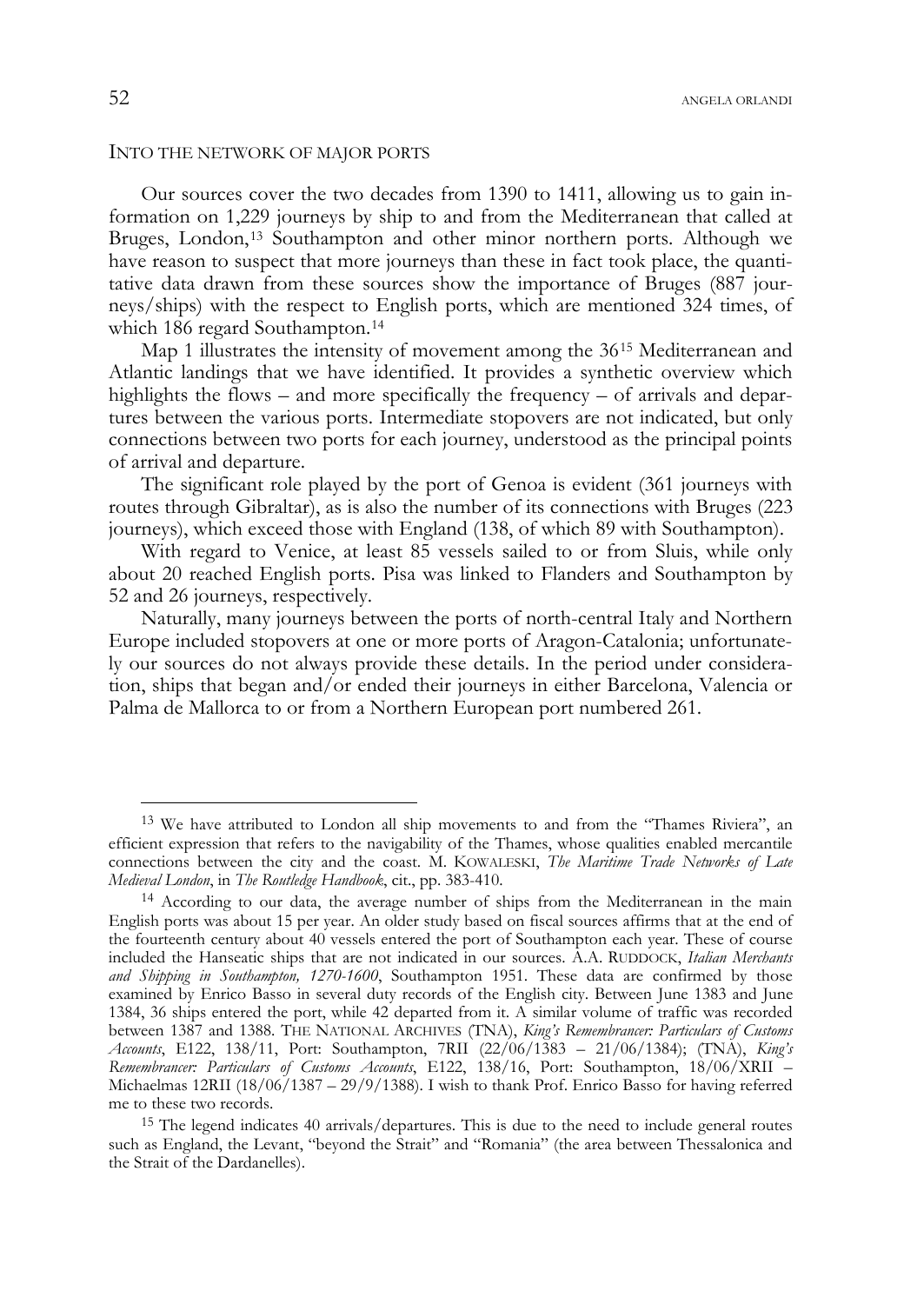#### INTO THE NETWORK OF MAJOR PORTS

Our sources cover the two decades from 1390 to 1411, allowing us to gain information on 1,229 journeys by ship to and from the Mediterranean that called at Bruges, London,<sup>13</sup> Southampton and other minor northern ports. Although we have reason to suspect that more journeys than these in fact took place, the quantitative data drawn from these sources show the importance of Bruges (887 journeys/ships) with the respect to English ports, which are mentioned 324 times, of which 186 regard Southampton.<sup>14</sup>

Map 1 illustrates the intensity of movement among the 36<sup>15</sup> Mediterranean and Atlantic landings that we have identified. It provides a synthetic overview which highlights the flows – and more specifically the frequency – of arrivals and departures between the various ports. Intermediate stopovers are not indicated, but only connections between two ports for each journey, understood as the principal points of arrival and departure.

The significant role played by the port of Genoa is evident (361 journeys with routes through Gibraltar), as is also the number of its connections with Bruges (223 journeys), which exceed those with England (138, of which 89 with Southampton).

With regard to Venice, at least 85 vessels sailed to or from Sluis, while only about 20 reached English ports. Pisa was linked to Flanders and Southampton by 52 and 26 journeys, respectively.

Naturally, many journeys between the ports of north-central Italy and Northern Europe included stopovers at one or more ports of Aragon-Catalonia; unfortunately our sources do not always provide these details. In the period under consideration, ships that began and/or ended their journeys in either Barcelona, Valencia or Palma de Mallorca to or from a Northern European port numbered 261.

<sup>&</sup>lt;sup>13</sup> We have attributed to London all ship movements to and from the "Thames Riviera", an efficient expression that refers to the navigability of the Thames, whose qualities enabled mercantile connections between the city and the coast. M. KOWALESKI, *The Maritime Trade Networks of Late Medieval London*, in *The Routledge Handbook*, cit., pp. 383-410.

<sup>&</sup>lt;sup>14</sup> According to our data, the average number of ships from the Mediterranean in the main English ports was about 15 per year. An older study based on fiscal sources affirms that at the end of the fourteenth century about 40 vessels entered the port of Southampton each year. These of course included the Hanseatic ships that are not indicated in our sources. A.A. RUDDOCK, *Italian Merchants and Shipping in Southampton, 1270-1600*, Southampton 1951. These data are confirmed by those examined by Enrico Basso in several duty records of the English city. Between June 1383 and June 1384, 36 ships entered the port, while 42 departed from it. A similar volume of traffic was recorded between 1387 and 1388. THE NATIONAL ARCHIVES (TNA), *King's Remembrancer: Particulars of Customs Accounts*, E122, 138/11, Port: Southampton, 7RII (22/06/1383 – 21/06/1384); (TNA), *King's Remembrancer: Particulars of Customs Accounts*, E122, 138/16, Port: Southampton, 18/06/XRII – Michaelmas 12RII (18/06/1387 – 29/9/1388). I wish to thank Prof. Enrico Basso for having referred me to these two records.

<sup>15</sup> The legend indicates 40 arrivals/departures. This is due to the need to include general routes such as England, the Levant, "beyond the Strait" and "Romania" (the area between Thessalonica and the Strait of the Dardanelles).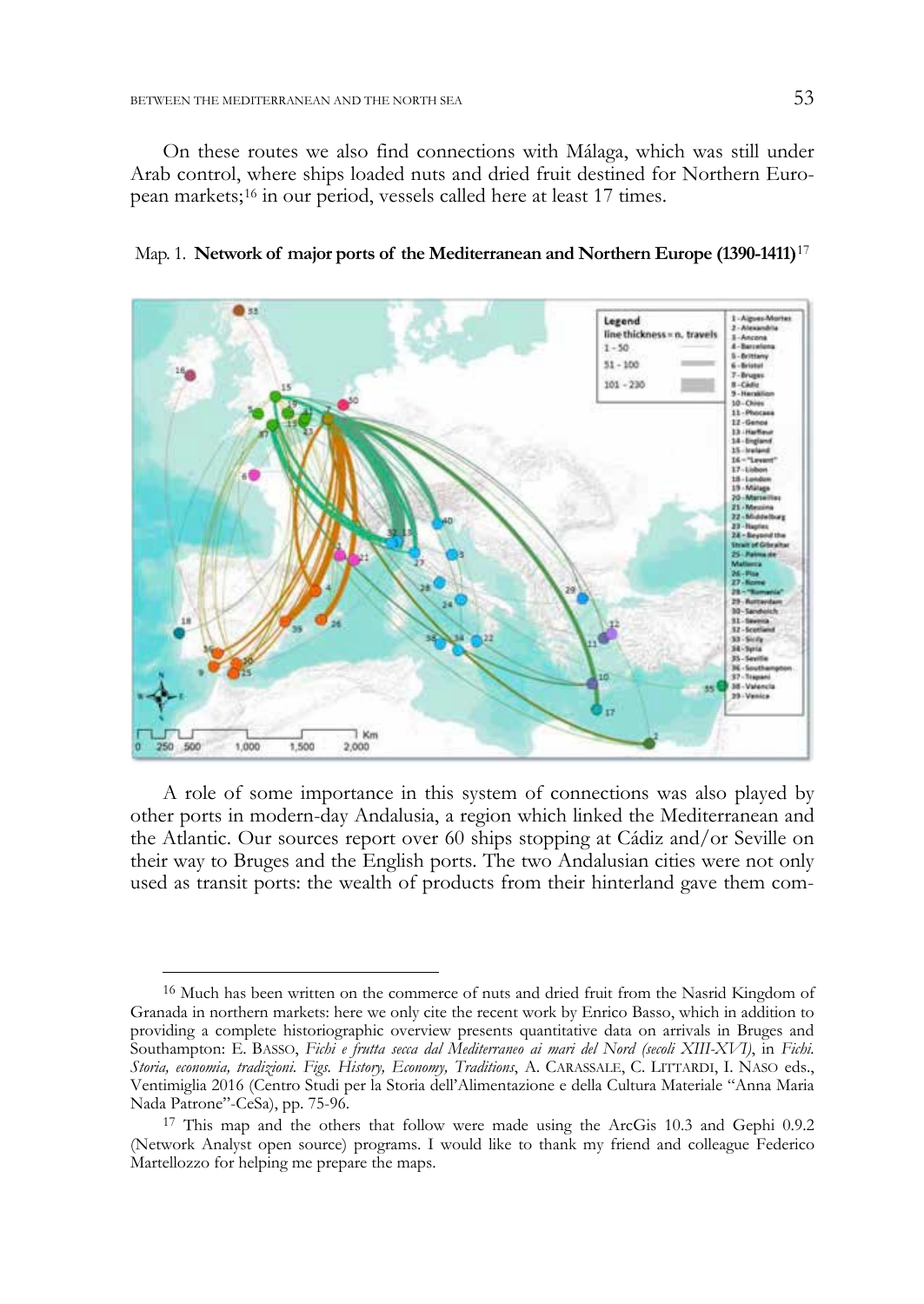j

On these routes we also find connections with Málaga, which was still under Arab control, where ships loaded nuts and dried fruit destined for Northern European markets;<sup>16</sup> in our period, vessels called here at least 17 times.



Map. 1. Network of major ports of the Mediterranean and Northern Europe (1390-1411)<sup>17</sup>

A role of some importance in this system of connections was also played by other ports in modern-day Andalusia, a region which linked the Mediterranean and the Atlantic. Our sources report over 60 ships stopping at Cádiz and/or Seville on their way to Bruges and the English ports. The two Andalusian cities were not only used as transit ports: the wealth of products from their hinterland gave them com-

<sup>&</sup>lt;sup>16</sup> Much has been written on the commerce of nuts and dried fruit from the Nasrid Kingdom of Granada in northern markets: here we only cite the recent work by Enrico Basso, which in addition to providing a complete historiographic overview presents quantitative data on arrivals in Bruges and Southampton: E. BASSO, *Fichi e frutta secca dal Mediterraneo ai mari del Nord (secoli XIII-XVI)*, in *Fichi. Storia, economia, tradizioni. Figs. History, Economy, Traditions*, A. CARASSALE, C. LITTARDI, I. NASO eds., Ventimiglia 2016 (Centro Studi per la Storia dell'Alimentazione e della Cultura Materiale "Anna Maria Nada Patrone"-CeSa), pp. 75-96.

<sup>&</sup>lt;sup>17</sup> This map and the others that follow were made using the ArcGis 10.3 and Gephi 0.9.2 (Network Analyst open source) programs. I would like to thank my friend and colleague Federico Martellozzo for helping me prepare the maps.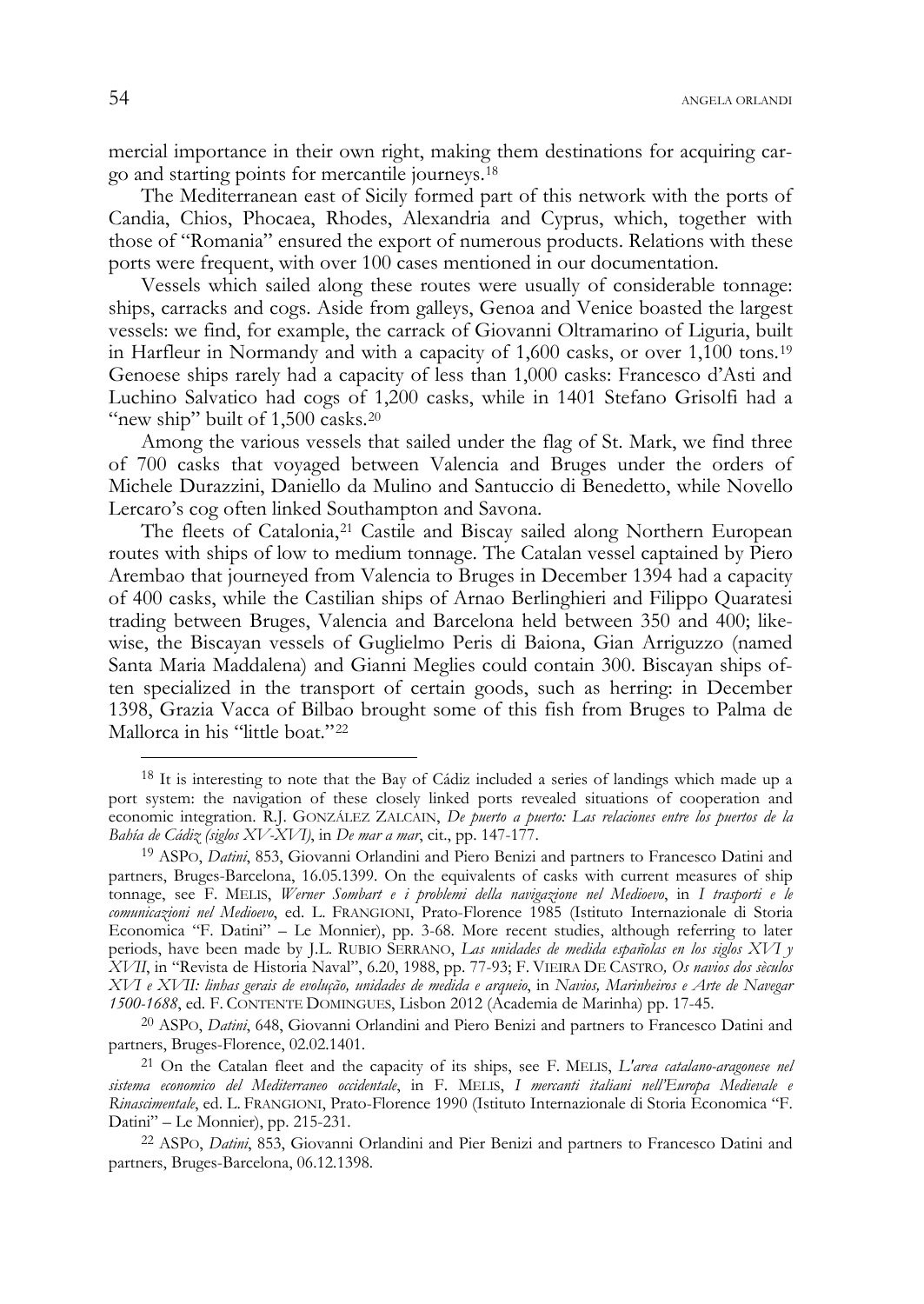mercial importance in their own right, making them destinations for acquiring cargo and starting points for mercantile journeys.<sup>18</sup>

The Mediterranean east of Sicily formed part of this network with the ports of Candia, Chios, Phocaea, Rhodes, Alexandria and Cyprus, which, together with those of "Romania" ensured the export of numerous products. Relations with these ports were frequent, with over 100 cases mentioned in our documentation.

Vessels which sailed along these routes were usually of considerable tonnage: ships, carracks and cogs. Aside from galleys, Genoa and Venice boasted the largest vessels: we find, for example, the carrack of Giovanni Oltramarino of Liguria, built in Harfleur in Normandy and with a capacity of  $1,600$  casks, or over  $1,100$  tons.<sup>19</sup> Genoese ships rarely had a capacity of less than 1,000 casks: Francesco d'Asti and Luchino Salvatico had cogs of 1,200 casks, while in 1401 Stefano Grisolfi had a "new ship" built of  $1,500$  casks.<sup>20</sup>

Among the various vessels that sailed under the flag of St. Mark, we find three of 700 casks that voyaged between Valencia and Bruges under the orders of Michele Durazzini, Daniello da Mulino and Santuccio di Benedetto, while Novello Lercaro's cog often linked Southampton and Savona.

The fleets of Catalonia,<sup>21</sup> Castile and Biscay sailed along Northern European routes with ships of low to medium tonnage. The Catalan vessel captained by Piero Arembao that journeyed from Valencia to Bruges in December 1394 had a capacity of 400 casks, while the Castilian ships of Arnao Berlinghieri and Filippo Quaratesi trading between Bruges, Valencia and Barcelona held between 350 and 400; likewise, the Biscayan vessels of Guglielmo Peris di Baiona, Gian Arriguzzo (named Santa Maria Maddalena) and Gianni Meglies could contain 300. Biscayan ships often specialized in the transport of certain goods, such as herring: in December 1398, Grazia Vacca of Bilbao brought some of this fish from Bruges to Palma de Mallorca in his "little boat."<sup>22</sup>

20 ASPO, *Datini*, 648, Giovanni Orlandini and Piero Benizi and partners to Francesco Datini and

<sup>&</sup>lt;sup>18</sup> It is interesting to note that the Bay of Cádiz included a series of landings which made up a port system: the navigation of these closely linked ports revealed situations of cooperation and economic integration. R.J. GONZÁLEZ ZALCAIN, *De puerto a puerto: Las relaciones entre los puertos de la Bahía de Cádiz (siglos XV-XVI)*, in *De mar a mar*, cit., pp. 147-177.

<sup>19</sup> ASPO, *Datini*, 853, Giovanni Orlandini and Piero Benizi and partners to Francesco Datini and partners, Bruges-Barcelona, 16.05.1399. On the equivalents of casks with current measures of ship tonnage, see F. MELIS, *Werner Sombart e i problemi della navigazione nel Medioevo*, in *I trasporti e le comunicazioni nel Medioevo*, ed. L. FRANGIONI, Prato-Florence 1985 (Istituto Internazionale di Storia Economica "F. Datini" – Le Monnier), pp. 3-68. More recent studies, although referring to later periods, have been made by J.L. RUBIO SERRANO, *Las unidades de medida españolas en los siglos XVI y XVII*, in "Revista de Historia Naval", 6.20, 1988, pp. 77-93; F. VIEIRA DE CASTRO*, Os navios dos sèculos XVI e XVII: linhas gerais de evolução, unidades de medida e arqueio*, in *Navios, Marinheiros e Arte de Navegar 1500-1688*, ed. F. CONTENTE DOMINGUES, Lisbon 2012 (Academia de Marinha) pp. 17-45.

<sup>&</sup>lt;sup>21</sup> On the Catalan fleet and the capacity of its ships, see F. MELIS, *L'area catalano-aragonese nel sistema economico del Mediterraneo occidentale*, in F. MELIS, *I mercanti italiani nell'Europa Medievale e Rinascimentale*, ed. L. FRANGIONI, Prato-Florence 1990 (Istituto Internazionale di Storia Economica "F. Datini" – Le Monnier), pp. 215-231. 22 ASPO, *Datini*, 853, Giovanni Orlandini and Pier Benizi and partners to Francesco Datini and

partners, Bruges-Barcelona, 06.12.1398.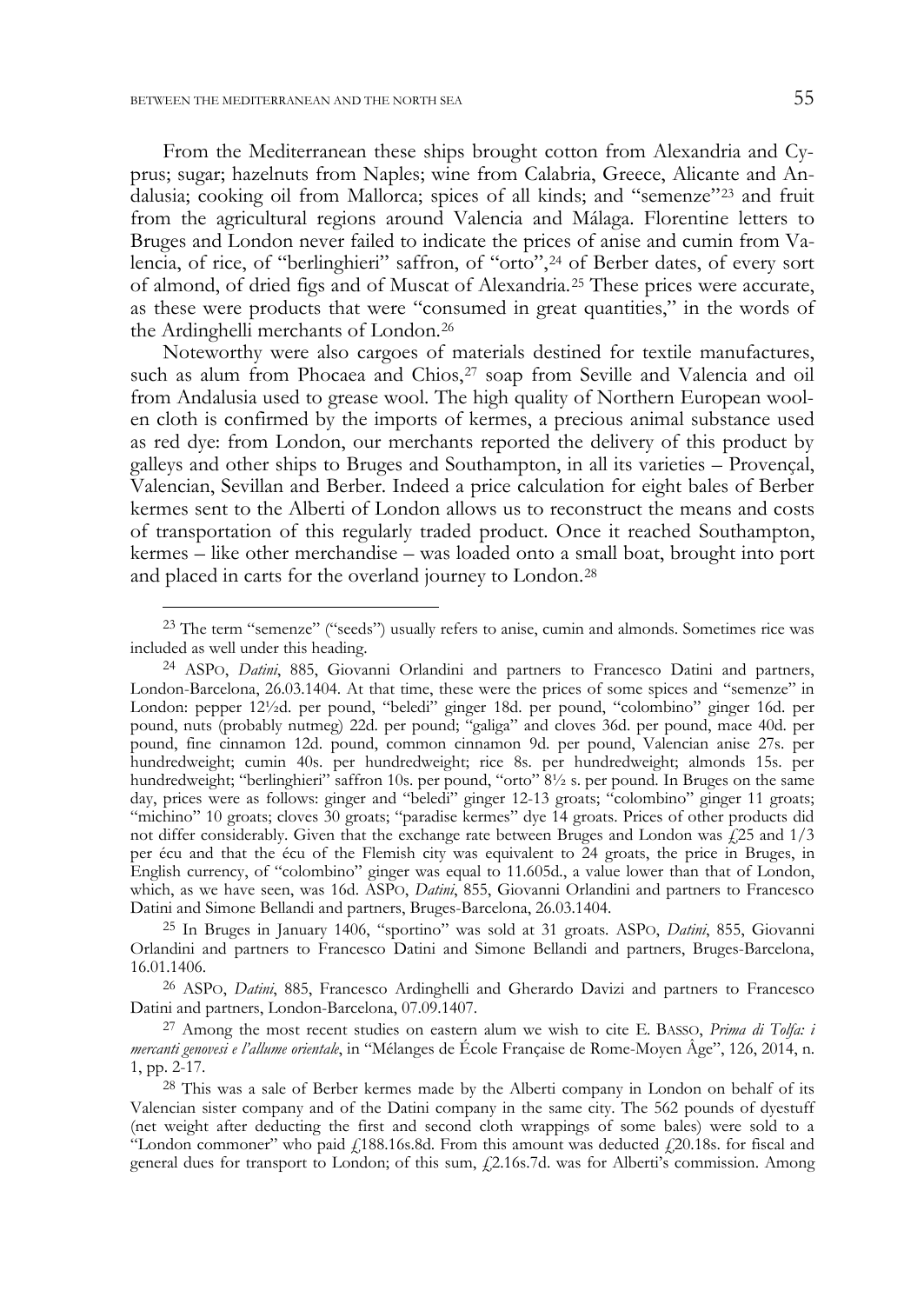-

From the Mediterranean these ships brought cotton from Alexandria and Cyprus; sugar; hazelnuts from Naples; wine from Calabria, Greece, Alicante and Andalusia; cooking oil from Mallorca; spices of all kinds; and "semenze"<sup>23</sup> and fruit from the agricultural regions around Valencia and Málaga. Florentine letters to Bruges and London never failed to indicate the prices of anise and cumin from Valencia, of rice, of "berlinghieri" saffron, of "orto",<sup>24</sup> of Berber dates, of every sort of almond, of dried figs and of Muscat of Alexandria.<sup>25</sup> These prices were accurate, as these were products that were "consumed in great quantities," in the words of the Ardinghelli merchants of London.<sup>26</sup>

Noteworthy were also cargoes of materials destined for textile manufactures, such as alum from Phocaea and Chios,<sup>27</sup> soap from Seville and Valencia and oil from Andalusia used to grease wool. The high quality of Northern European woolen cloth is confirmed by the imports of kermes, a precious animal substance used as red dye: from London, our merchants reported the delivery of this product by galleys and other ships to Bruges and Southampton, in all its varieties – Provençal, Valencian, Sevillan and Berber. Indeed a price calculation for eight bales of Berber kermes sent to the Alberti of London allows us to reconstruct the means and costs of transportation of this regularly traded product. Once it reached Southampton, kermes – like other merchandise – was loaded onto a small boat, brought into port and placed in carts for the overland journey to London.<sup>28</sup>

<sup>&</sup>lt;sup>23</sup> The term "semenze" ("seeds") usually refers to anise, cumin and almonds. Sometimes rice was included as well under this heading.

<sup>24</sup> ASPO, *Datini*, 885, Giovanni Orlandini and partners to Francesco Datini and partners, London-Barcelona, 26.03.1404. At that time, these were the prices of some spices and "semenze" in London: pepper 12½d. per pound, "beledi" ginger 18d. per pound, "colombino" ginger 16d. per pound, nuts (probably nutmeg) 22d. per pound; "galiga" and cloves 36d. per pound, mace 40d. per pound, fine cinnamon 12d. pound, common cinnamon 9d. per pound, Valencian anise 27s. per hundredweight; cumin 40s. per hundredweight; rice 8s. per hundredweight; almonds 15s. per hundredweight; "berlinghieri" saffron 10s. per pound, "orto" 8½ s. per pound. In Bruges on the same day, prices were as follows: ginger and "beledi" ginger 12-13 groats; "colombino" ginger 11 groats; "michino" 10 groats; cloves 30 groats; "paradise kermes" dye 14 groats. Prices of other products did not differ considerably. Given that the exchange rate between Bruges and London was  $\frac{1}{2}$  and  $\frac{1}{3}$ per écu and that the écu of the Flemish city was equivalent to 24 groats, the price in Bruges, in English currency, of "colombino" ginger was equal to 11.605d., a value lower than that of London, which, as we have seen, was 16d. ASPO, *Datini*, 855, Giovanni Orlandini and partners to Francesco Datini and Simone Bellandi and partners, Bruges-Barcelona, 26.03.1404.

<sup>25</sup> In Bruges in January 1406, "sportino" was sold at 31 groats. ASPO, *Datini*, 855, Giovanni Orlandini and partners to Francesco Datini and Simone Bellandi and partners, Bruges-Barcelona, 16.01.1406.

<sup>26</sup> ASPO, *Datini*, 885, Francesco Ardinghelli and Gherardo Davizi and partners to Francesco Datini and partners, London-Barcelona, 07.09.1407.

<sup>27</sup> Among the most recent studies on eastern alum we wish to cite E. BASSO, *Prima di Tolfa: i mercanti genovesi e l'allume orientale*, in "Mélanges de École Française de Rome-Moyen Âge", 126, 2014, n. 1, pp. 2-17.

<sup>&</sup>lt;sup>28</sup> This was a sale of Berber kermes made by the Alberti company in London on behalf of its Valencian sister company and of the Datini company in the same city. The 562 pounds of dyestuff (net weight after deducting the first and second cloth wrappings of some bales) were sold to a "London commoner" who paid  $f$ 188.16s.8d. From this amount was deducted  $f$ 20.18s. for fiscal and general dues for transport to London; of this sum,  $\frac{f}{L}$ 2.16s.7d. was for Alberti's commission. Among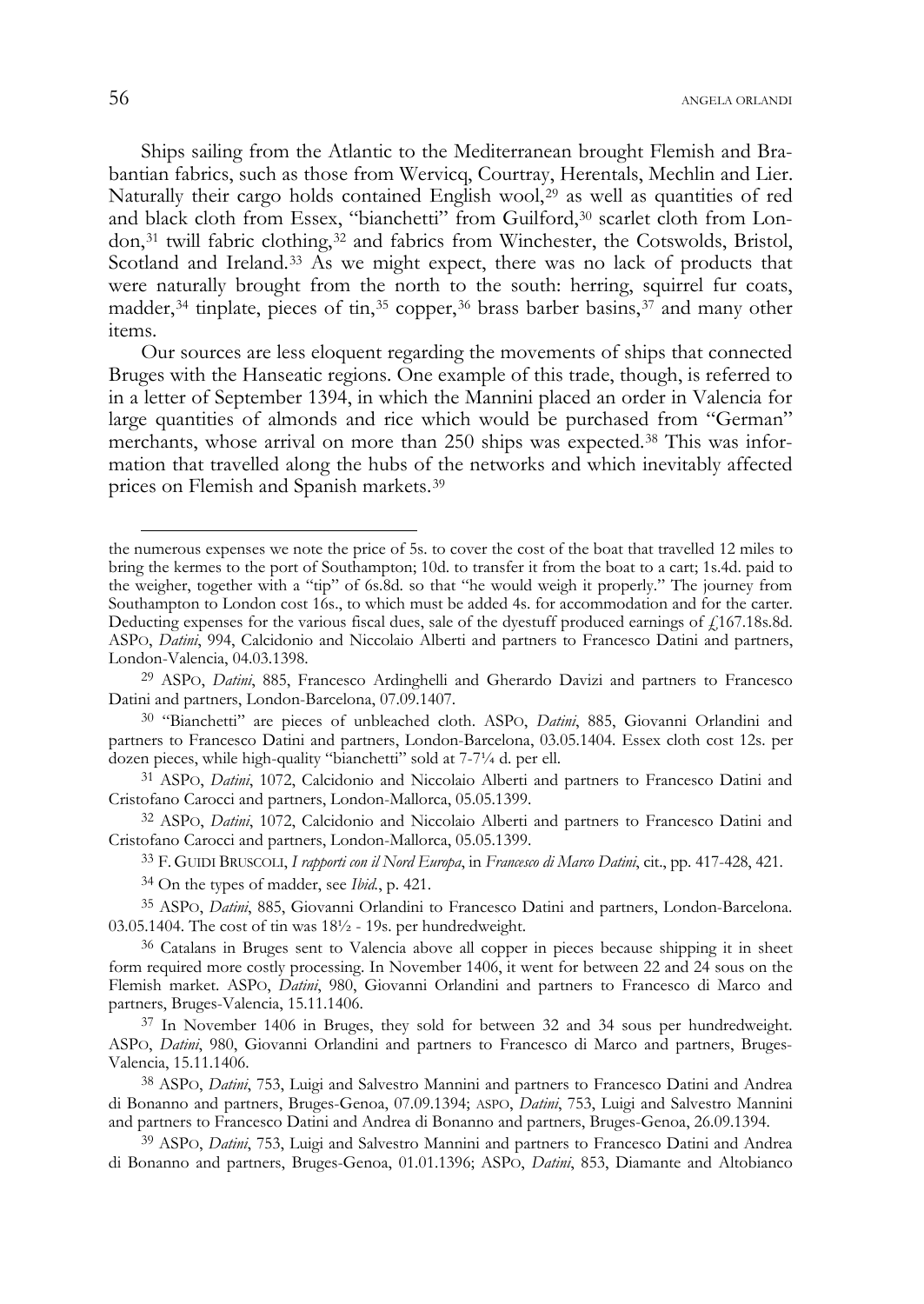Ships sailing from the Atlantic to the Mediterranean brought Flemish and Brabantian fabrics, such as those from Wervicq, Courtray, Herentals, Mechlin and Lier. Naturally their cargo holds contained English wool,<sup>29</sup> as well as quantities of red and black cloth from Essex, "bianchetti" from Guilford,<sup>30</sup> scarlet cloth from London,<sup>31</sup> twill fabric clothing,<sup>32</sup> and fabrics from Winchester, the Cotswolds, Bristol, Scotland and Ireland.<sup>33</sup> As we might expect, there was no lack of products that were naturally brought from the north to the south: herring, squirrel fur coats, madder,<sup>34</sup> tinplate, pieces of tin,<sup>35</sup> copper,<sup>36</sup> brass barber basins,<sup>37</sup> and many other items.

Our sources are less eloquent regarding the movements of ships that connected Bruges with the Hanseatic regions. One example of this trade, though, is referred to in a letter of September 1394, in which the Mannini placed an order in Valencia for large quantities of almonds and rice which would be purchased from "German" merchants, whose arrival on more than 250 ships was expected.<sup>38</sup> This was information that travelled along the hubs of the networks and which inevitably affected prices on Flemish and Spanish markets.<sup>39</sup>

33 F. GUIDI BRUSCOLI, *I rapporti con il Nord Europa*, in *Francesco di Marco Datini*, cit., pp. 417-428, 421.

34 On the types of madder, see *Ibid.*, p. 421.

35 ASPO, *Datini*, 885, Giovanni Orlandini to Francesco Datini and partners, London-Barcelona. 03.05.1404. The cost of tin was 18½ - 19s. per hundredweight.

37 In November 1406 in Bruges, they sold for between 32 and 34 sous per hundredweight. ASPO, *Datini*, 980, Giovanni Orlandini and partners to Francesco di Marco and partners, Bruges-Valencia, 15.11.1406.

38 ASPO, *Datini*, 753, Luigi and Salvestro Mannini and partners to Francesco Datini and Andrea di Bonanno and partners, Bruges-Genoa, 07.09.1394; ASPO, *Datini*, 753, Luigi and Salvestro Mannini and partners to Francesco Datini and Andrea di Bonanno and partners, Bruges-Genoa, 26.09.1394.

39 ASPO, *Datini*, 753, Luigi and Salvestro Mannini and partners to Francesco Datini and Andrea di Bonanno and partners, Bruges-Genoa, 01.01.1396; ASPO, *Datini*, 853, Diamante and Altobianco

the numerous expenses we note the price of 5s. to cover the cost of the boat that travelled 12 miles to bring the kermes to the port of Southampton; 10d. to transfer it from the boat to a cart; 1s.4d. paid to the weigher, together with a "tip" of 6s.8d. so that "he would weigh it properly." The journey from Southampton to London cost 16s., to which must be added 4s. for accommodation and for the carter. Deducting expenses for the various fiscal dues, sale of the dyestuff produced earnings of £167.18s.8d. ASPO, *Datini*, 994, Calcidonio and Niccolaio Alberti and partners to Francesco Datini and partners, London-Valencia, 04.03.1398.

<sup>29</sup> ASPO, *Datini*, 885, Francesco Ardinghelli and Gherardo Davizi and partners to Francesco Datini and partners, London-Barcelona, 07.09.1407.

<sup>30 &</sup>quot;Bianchetti" are pieces of unbleached cloth. ASPO, *Datini*, 885, Giovanni Orlandini and partners to Francesco Datini and partners, London-Barcelona, 03.05.1404. Essex cloth cost 12s. per dozen pieces, while high-quality "bianchetti" sold at 7-7¼ d. per ell.

<sup>31</sup> ASPO, *Datini*, 1072, Calcidonio and Niccolaio Alberti and partners to Francesco Datini and Cristofano Carocci and partners, London-Mallorca, 05.05.1399.

<sup>32</sup> ASPO, *Datini*, 1072, Calcidonio and Niccolaio Alberti and partners to Francesco Datini and Cristofano Carocci and partners, London-Mallorca, 05.05.1399.

<sup>36</sup> Catalans in Bruges sent to Valencia above all copper in pieces because shipping it in sheet form required more costly processing. In November 1406, it went for between 22 and 24 sous on the Flemish market. ASPO, *Datini*, 980, Giovanni Orlandini and partners to Francesco di Marco and partners, Bruges-Valencia, 15.11.1406.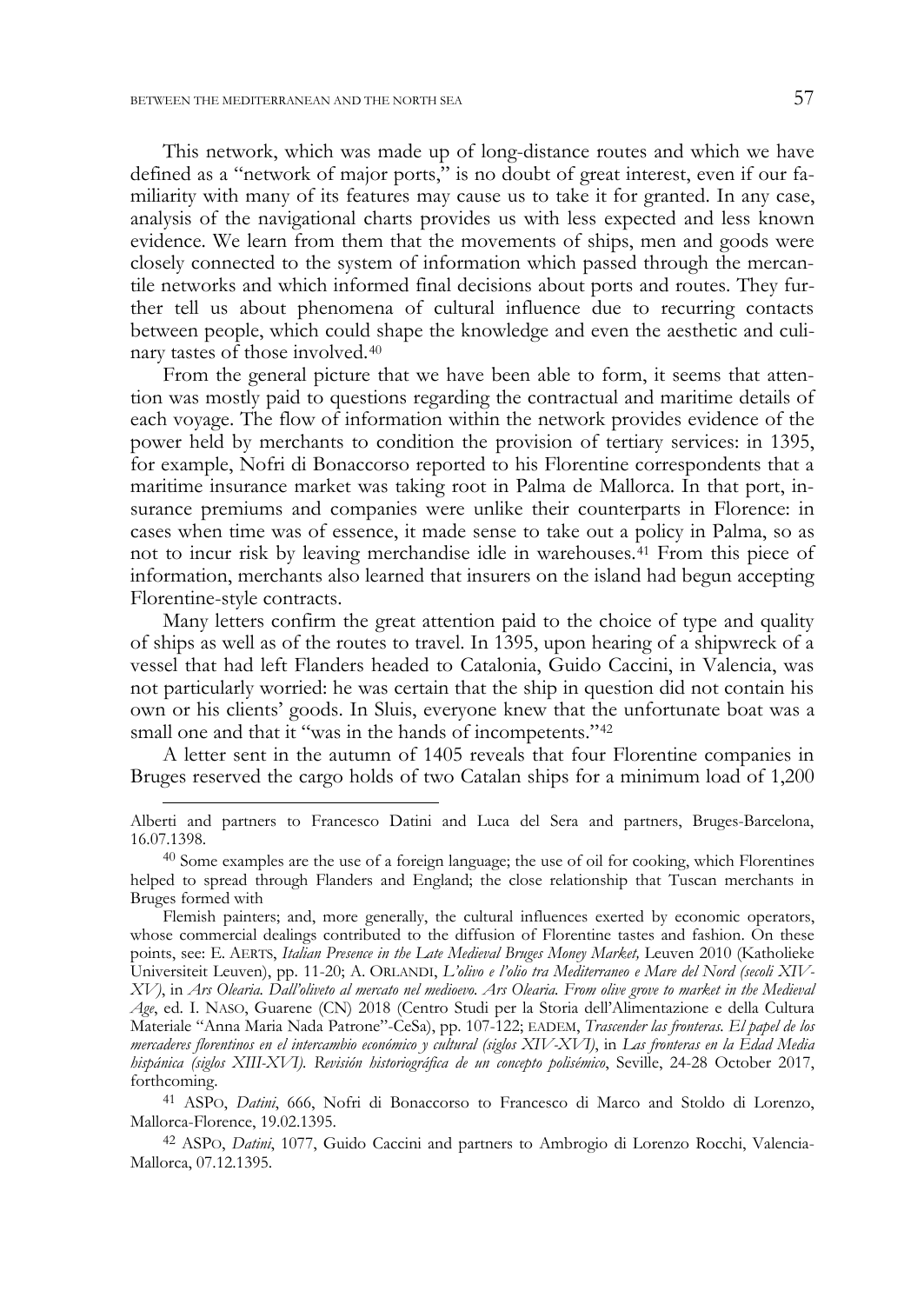This network, which was made up of long-distance routes and which we have defined as a "network of major ports," is no doubt of great interest, even if our familiarity with many of its features may cause us to take it for granted. In any case, analysis of the navigational charts provides us with less expected and less known evidence. We learn from them that the movements of ships, men and goods were closely connected to the system of information which passed through the mercantile networks and which informed final decisions about ports and routes. They further tell us about phenomena of cultural influence due to recurring contacts between people, which could shape the knowledge and even the aesthetic and culinary tastes of those involved.<sup>40</sup>

From the general picture that we have been able to form, it seems that attention was mostly paid to questions regarding the contractual and maritime details of each voyage. The flow of information within the network provides evidence of the power held by merchants to condition the provision of tertiary services: in 1395, for example, Nofri di Bonaccorso reported to his Florentine correspondents that a maritime insurance market was taking root in Palma de Mallorca. In that port, insurance premiums and companies were unlike their counterparts in Florence: in cases when time was of essence, it made sense to take out a policy in Palma, so as not to incur risk by leaving merchandise idle in warehouses.<sup>41</sup> From this piece of information, merchants also learned that insurers on the island had begun accepting Florentine-style contracts.

Many letters confirm the great attention paid to the choice of type and quality of ships as well as of the routes to travel. In 1395, upon hearing of a shipwreck of a vessel that had left Flanders headed to Catalonia, Guido Caccini, in Valencia, was not particularly worried: he was certain that the ship in question did not contain his own or his clients' goods. In Sluis, everyone knew that the unfortunate boat was a small one and that it "was in the hands of incompetents."<sup>42</sup>

A letter sent in the autumn of 1405 reveals that four Florentine companies in Bruges reserved the cargo holds of two Catalan ships for a minimum load of 1,200

41 ASPO, *Datini*, 666, Nofri di Bonaccorso to Francesco di Marco and Stoldo di Lorenzo, Mallorca-Florence, 19.02.1395.

42 ASPO, *Datini*, 1077, Guido Caccini and partners to Ambrogio di Lorenzo Rocchi, Valencia-Mallorca, 07.12.1395.

Alberti and partners to Francesco Datini and Luca del Sera and partners, Bruges-Barcelona, 16.07.1398.

<sup>&</sup>lt;sup>40</sup> Some examples are the use of a foreign language; the use of oil for cooking, which Florentines helped to spread through Flanders and England; the close relationship that Tuscan merchants in Bruges formed with

Flemish painters; and, more generally, the cultural influences exerted by economic operators, whose commercial dealings contributed to the diffusion of Florentine tastes and fashion. On these points, see: E. AERTS, *Italian Presence in the Late Medieval Bruges Money Market,* Leuven 2010 (Katholieke Universiteit Leuven), pp. 11-20; A. ORLANDI, *L'olivo e l'olio tra Mediterraneo e Mare del Nord (secoli XIV-XV)*, in *Ars Olearia. Dall'oliveto al mercato nel medioevo. Ars Olearia. From olive grove to market in the Medieval Age*, ed. I. NASO, Guarene (CN) 2018 (Centro Studi per la Storia dell'Alimentazione e della Cultura Materiale "Anna Maria Nada Patrone"-CeSa), pp. 107-122; EADEM, *Trascender las fronteras. El papel de los mercaderes florentinos en el intercambio económico y cultural (siglos XIV-XVI)*, in *Las fronteras en la Edad Media hispánica (siglos XIII-XVI). Revisión historiográfica de un concepto polisémico*, Seville, 24-28 October 2017, forthcoming.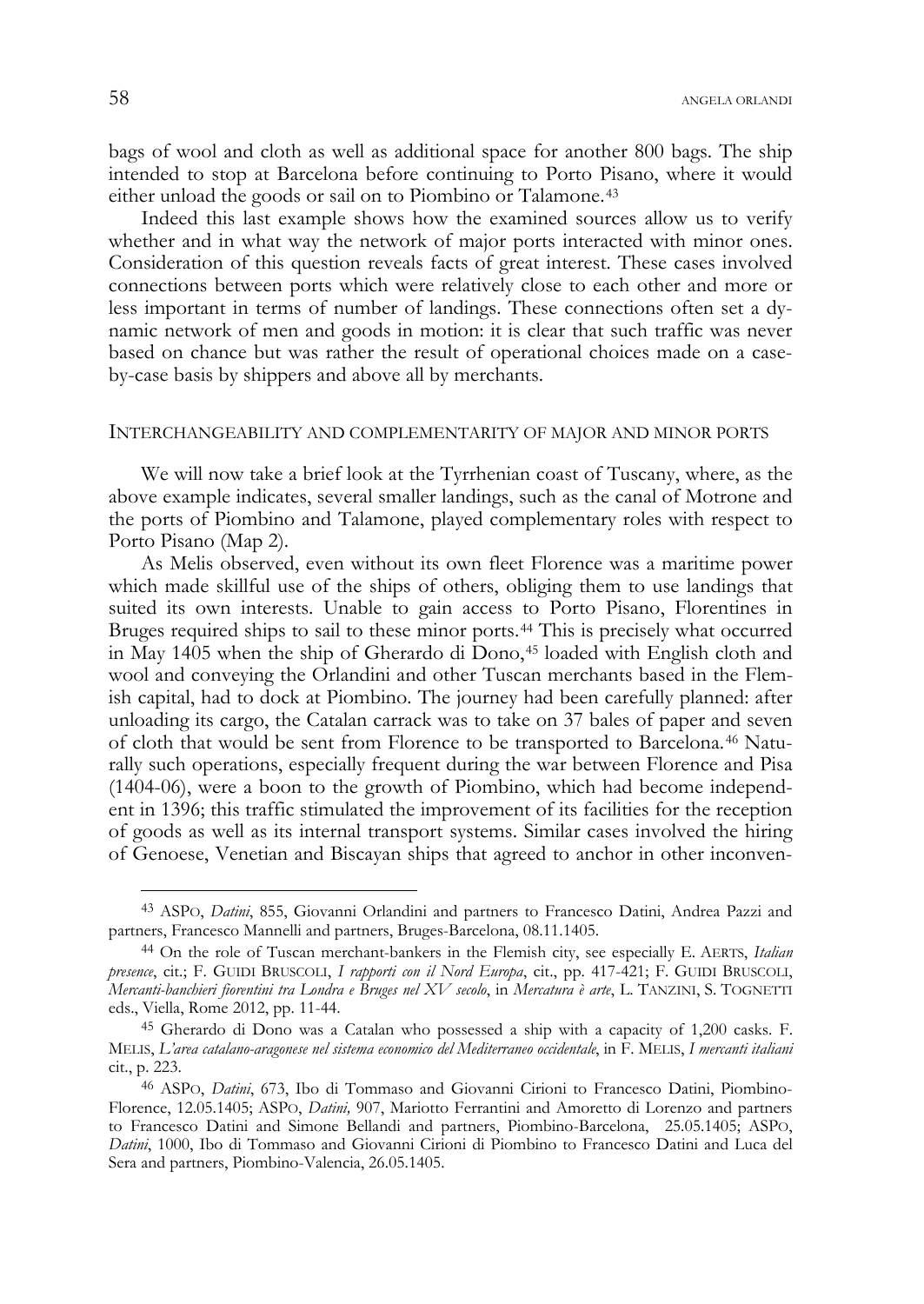bags of wool and cloth as well as additional space for another 800 bags. The ship intended to stop at Barcelona before continuing to Porto Pisano, where it would either unload the goods or sail on to Piombino or Talamone.<sup>43</sup>

Indeed this last example shows how the examined sources allow us to verify whether and in what way the network of major ports interacted with minor ones. Consideration of this question reveals facts of great interest. These cases involved connections between ports which were relatively close to each other and more or less important in terms of number of landings. These connections often set a dynamic network of men and goods in motion: it is clear that such traffic was never based on chance but was rather the result of operational choices made on a caseby-case basis by shippers and above all by merchants.

### INTERCHANGEABILITY AND COMPLEMENTARITY OF MAJOR AND MINOR PORTS

We will now take a brief look at the Tyrrhenian coast of Tuscany, where, as the above example indicates, several smaller landings, such as the canal of Motrone and the ports of Piombino and Talamone, played complementary roles with respect to Porto Pisano (Map 2).

As Melis observed, even without its own fleet Florence was a maritime power which made skillful use of the ships of others, obliging them to use landings that suited its own interests. Unable to gain access to Porto Pisano, Florentines in Bruges required ships to sail to these minor ports.<sup>44</sup> This is precisely what occurred in May 1405 when the ship of Gherardo di Dono,<sup>45</sup> loaded with English cloth and wool and conveying the Orlandini and other Tuscan merchants based in the Flemish capital, had to dock at Piombino. The journey had been carefully planned: after unloading its cargo, the Catalan carrack was to take on 37 bales of paper and seven of cloth that would be sent from Florence to be transported to Barcelona.<sup>46</sup> Naturally such operations, especially frequent during the war between Florence and Pisa (1404-06), were a boon to the growth of Piombino, which had become independent in 1396; this traffic stimulated the improvement of its facilities for the reception of goods as well as its internal transport systems. Similar cases involved the hiring of Genoese, Venetian and Biscayan ships that agreed to anchor in other inconven-

<sup>43</sup> ASPO, *Datini*, 855, Giovanni Orlandini and partners to Francesco Datini, Andrea Pazzi and partners, Francesco Mannelli and partners, Bruges-Barcelona, 08.11.1405.

<sup>44</sup> On the role of Tuscan merchant-bankers in the Flemish city, see especially E. AERTS, *Italian presence*, cit.; F. GUIDI BRUSCOLI, *I rapporti con il Nord Europa*, cit., pp. 417-421; F. GUIDI BRUSCOLI, *Mercanti-banchieri fiorentini tra Londra e Bruges nel XV secolo*, in *Mercatura è arte*, L. TANZINI, S. TOGNETTI eds., Viella, Rome 2012, pp. 11-44.

<sup>45</sup> Gherardo di Dono was a Catalan who possessed a ship with a capacity of 1,200 casks. F. MELIS, *L'area catalano-aragonese nel sistema economico del Mediterraneo occidentale*, in F. MELIS, *I mercanti italiani* cit., p. 223.

<sup>46</sup> ASPO, *Datini*, 673, Ibo di Tommaso and Giovanni Cirioni to Francesco Datini, Piombino-Florence, 12.05.1405; ASPO, *Datini,* 907, Mariotto Ferrantini and Amoretto di Lorenzo and partners to Francesco Datini and Simone Bellandi and partners, Piombino-Barcelona, 25.05.1405; ASPO, *Datini*, 1000, Ibo di Tommaso and Giovanni Cirioni di Piombino to Francesco Datini and Luca del Sera and partners, Piombino-Valencia, 26.05.1405.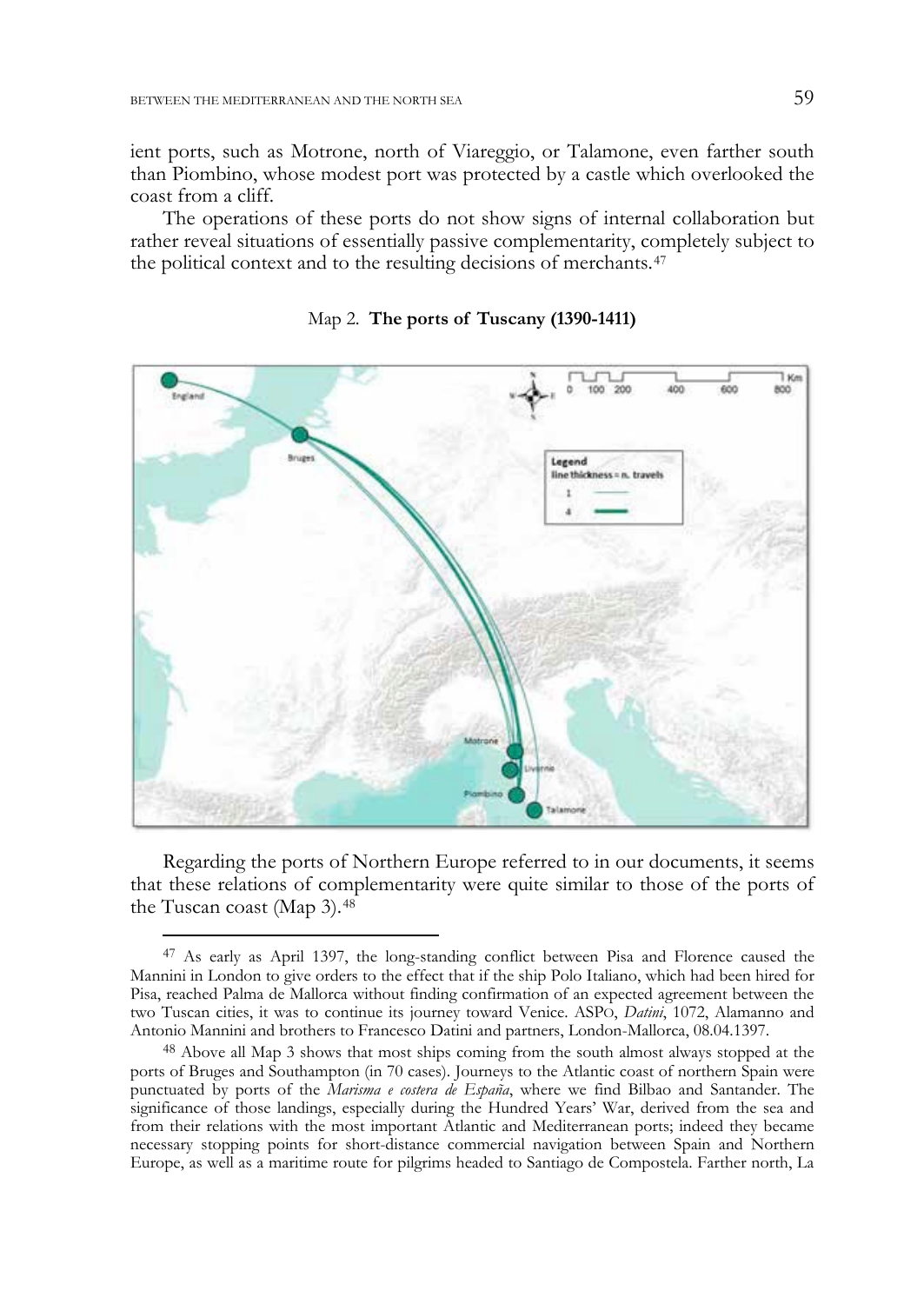-

ient ports, such as Motrone, north of Viareggio, or Talamone, even farther south than Piombino, whose modest port was protected by a castle which overlooked the coast from a cliff.

The operations of these ports do not show signs of internal collaboration but rather reveal situations of essentially passive complementarity, completely subject to the political context and to the resulting decisions of merchants.<sup>47</sup>



#### Map 2. **The ports of Tuscany (1390-1411)**

Regarding the ports of Northern Europe referred to in our documents, it seems that these relations of complementarity were quite similar to those of the ports of the Tuscan coast (Map 3).<sup>48</sup>

<sup>47</sup> As early as April 1397, the long-standing conflict between Pisa and Florence caused the Mannini in London to give orders to the effect that if the ship Polo Italiano, which had been hired for Pisa, reached Palma de Mallorca without finding confirmation of an expected agreement between the two Tuscan cities, it was to continue its journey toward Venice. ASPO, *Datini*, 1072, Alamanno and Antonio Mannini and brothers to Francesco Datini and partners, London-Mallorca, 08.04.1397.

<sup>48</sup> Above all Map 3 shows that most ships coming from the south almost always stopped at the ports of Bruges and Southampton (in 70 cases). Journeys to the Atlantic coast of northern Spain were punctuated by ports of the *Marisma e costera de España*, where we find Bilbao and Santander. The significance of those landings, especially during the Hundred Years' War, derived from the sea and from their relations with the most important Atlantic and Mediterranean ports; indeed they became necessary stopping points for short-distance commercial navigation between Spain and Northern Europe, as well as a maritime route for pilgrims headed to Santiago de Compostela. Farther north, La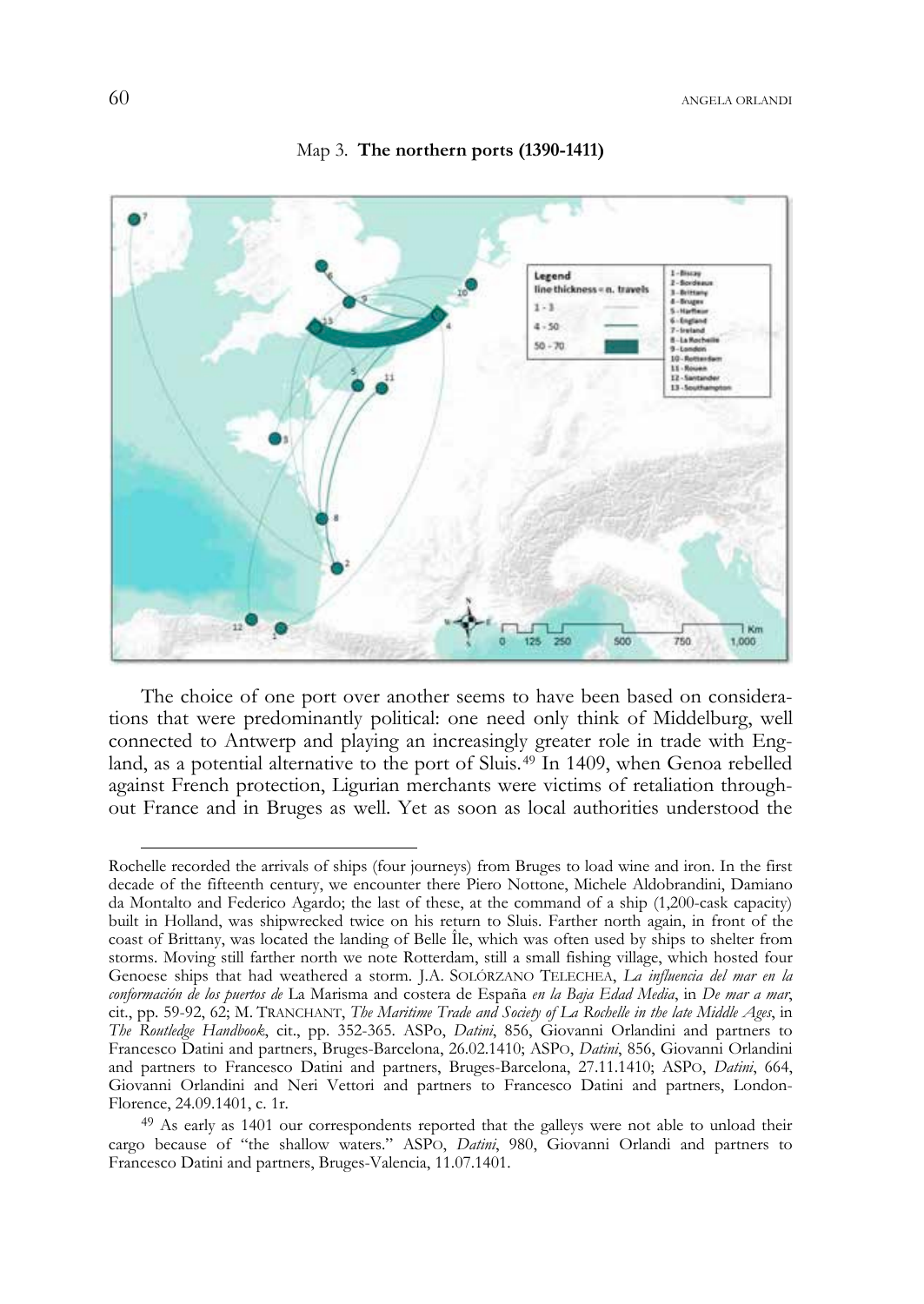



The choice of one port over another seems to have been based on considerations that were predominantly political: one need only think of Middelburg, well connected to Antwerp and playing an increasingly greater role in trade with England, as a potential alternative to the port of Sluis.<sup>49</sup> In 1409, when Genoa rebelled against French protection, Ligurian merchants were victims of retaliation throughout France and in Bruges as well. Yet as soon as local authorities understood the

Rochelle recorded the arrivals of ships (four journeys) from Bruges to load wine and iron. In the first decade of the fifteenth century, we encounter there Piero Nottone, Michele Aldobrandini, Damiano da Montalto and Federico Agardo; the last of these, at the command of a ship (1,200-cask capacity) built in Holland, was shipwrecked twice on his return to Sluis. Farther north again, in front of the coast of Brittany, was located the landing of Belle Île, which was often used by ships to shelter from storms. Moving still farther north we note Rotterdam, still a small fishing village, which hosted four Genoese ships that had weathered a storm. J.A. SOLÓRZANO TELECHEA, *La influencia del mar en la conformación de los puertos de* La Marisma and costera de España *en la Baja Edad Media*, in *De mar a mar*, cit., pp. 59-92, 62; M. TRANCHANT, *The Maritime Trade and Society of La Rochelle in the late Middle Ages*, in *The Routledge Handbook*, cit., pp. 352-365. ASPo, *Datini*, 856, Giovanni Orlandini and partners to Francesco Datini and partners, Bruges-Barcelona, 26.02.1410; ASPO, *Datini*, 856, Giovanni Orlandini and partners to Francesco Datini and partners, Bruges-Barcelona, 27.11.1410; ASPO, *Datini*, 664, Giovanni Orlandini and Neri Vettori and partners to Francesco Datini and partners, London-Florence, 24.09.1401, c. 1r.

<sup>&</sup>lt;sup>49</sup> As early as 1401 our correspondents reported that the galleys were not able to unload their cargo because of "the shallow waters." ASPO, *Datini*, 980, Giovanni Orlandi and partners to Francesco Datini and partners, Bruges-Valencia, 11.07.1401.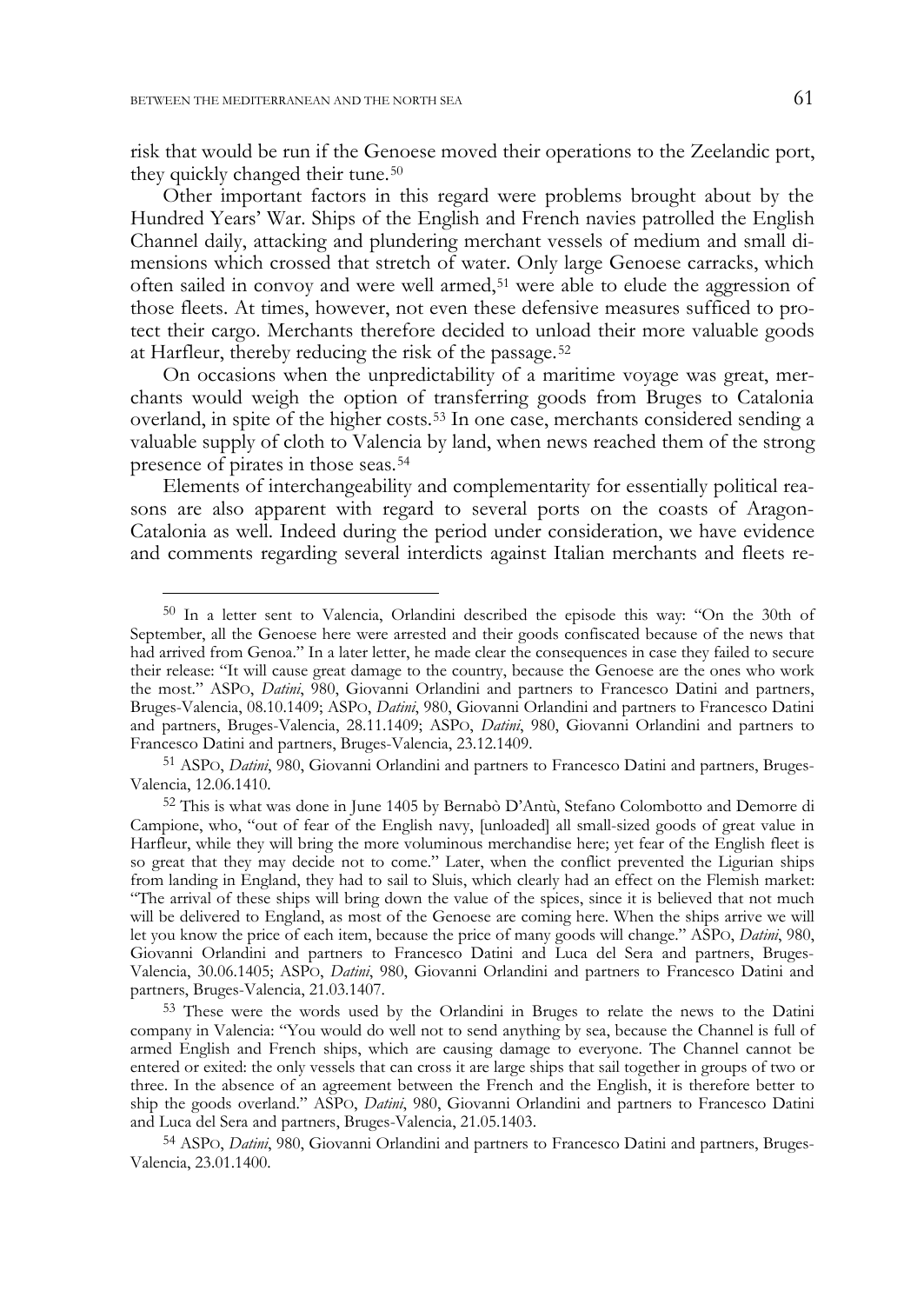-

risk that would be run if the Genoese moved their operations to the Zeelandic port, they quickly changed their tune.<sup>50</sup>

Other important factors in this regard were problems brought about by the Hundred Years' War. Ships of the English and French navies patrolled the English Channel daily, attacking and plundering merchant vessels of medium and small dimensions which crossed that stretch of water. Only large Genoese carracks, which often sailed in convoy and were well armed,<sup>51</sup> were able to elude the aggression of those fleets. At times, however, not even these defensive measures sufficed to protect their cargo. Merchants therefore decided to unload their more valuable goods at Harfleur, thereby reducing the risk of the passage.<sup>52</sup>

On occasions when the unpredictability of a maritime voyage was great, merchants would weigh the option of transferring goods from Bruges to Catalonia overland, in spite of the higher costs.<sup>53</sup> In one case, merchants considered sending a valuable supply of cloth to Valencia by land, when news reached them of the strong presence of pirates in those seas.<sup>54</sup>

Elements of interchangeability and complementarity for essentially political reasons are also apparent with regard to several ports on the coasts of Aragon-Catalonia as well. Indeed during the period under consideration, we have evidence and comments regarding several interdicts against Italian merchants and fleets re-

<sup>50</sup> In a letter sent to Valencia, Orlandini described the episode this way: "On the 30th of September, all the Genoese here were arrested and their goods confiscated because of the news that had arrived from Genoa." In a later letter, he made clear the consequences in case they failed to secure their release: "It will cause great damage to the country, because the Genoese are the ones who work the most." ASPO, *Datini*, 980, Giovanni Orlandini and partners to Francesco Datini and partners, Bruges-Valencia, 08.10.1409; ASPO, *Datini*, 980, Giovanni Orlandini and partners to Francesco Datini and partners, Bruges-Valencia, 28.11.1409; ASPO, *Datini*, 980, Giovanni Orlandini and partners to Francesco Datini and partners, Bruges-Valencia, 23.12.1409.

<sup>51</sup> ASPO, *Datini*, 980, Giovanni Orlandini and partners to Francesco Datini and partners, Bruges-Valencia, 12.06.1410.

<sup>52</sup> This is what was done in June 1405 by Bernabò D'Antù, Stefano Colombotto and Demorre di Campione, who, "out of fear of the English navy, [unloaded] all small-sized goods of great value in Harfleur, while they will bring the more voluminous merchandise here; yet fear of the English fleet is so great that they may decide not to come." Later, when the conflict prevented the Ligurian ships from landing in England, they had to sail to Sluis, which clearly had an effect on the Flemish market: "The arrival of these ships will bring down the value of the spices, since it is believed that not much will be delivered to England, as most of the Genoese are coming here. When the ships arrive we will let you know the price of each item, because the price of many goods will change." ASPO, *Datini*, 980, Giovanni Orlandini and partners to Francesco Datini and Luca del Sera and partners, Bruges-Valencia, 30.06.1405; ASPO, *Datini*, 980, Giovanni Orlandini and partners to Francesco Datini and partners, Bruges-Valencia, 21.03.1407.

<sup>53</sup> These were the words used by the Orlandini in Bruges to relate the news to the Datini company in Valencia: "You would do well not to send anything by sea, because the Channel is full of armed English and French ships, which are causing damage to everyone. The Channel cannot be entered or exited: the only vessels that can cross it are large ships that sail together in groups of two or three. In the absence of an agreement between the French and the English, it is therefore better to ship the goods overland." ASPO, *Datini*, 980, Giovanni Orlandini and partners to Francesco Datini and Luca del Sera and partners, Bruges-Valencia, 21.05.1403.

<sup>54</sup> ASPO, *Datini*, 980, Giovanni Orlandini and partners to Francesco Datini and partners, Bruges-Valencia, 23.01.1400.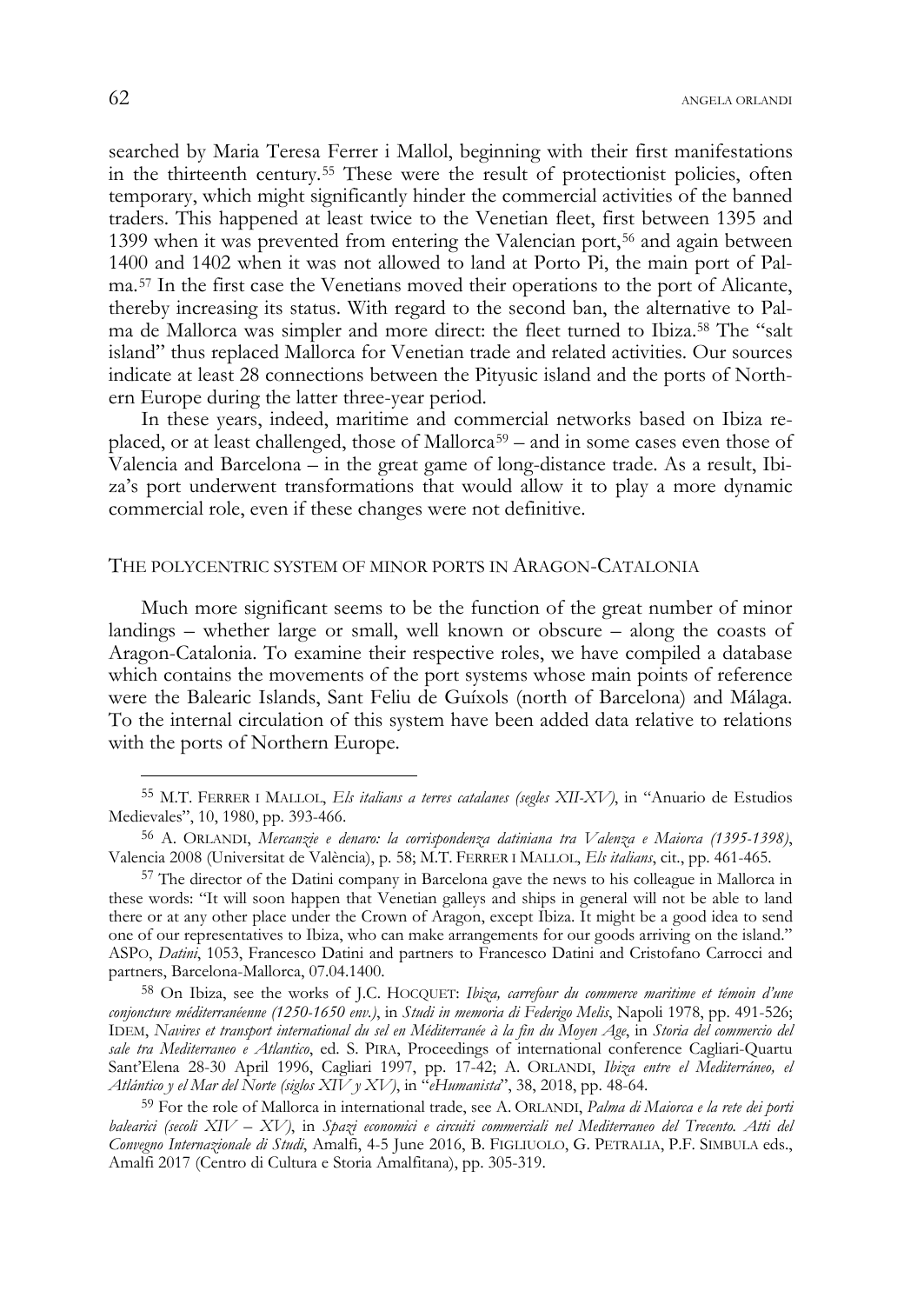searched by Maria Teresa Ferrer i Mallol, beginning with their first manifestations in the thirteenth century.<sup>55</sup> These were the result of protectionist policies, often temporary, which might significantly hinder the commercial activities of the banned traders. This happened at least twice to the Venetian fleet, first between 1395 and 1399 when it was prevented from entering the Valencian port,<sup>56</sup> and again between 1400 and 1402 when it was not allowed to land at Porto Pi, the main port of Palma.<sup>57</sup> In the first case the Venetians moved their operations to the port of Alicante, thereby increasing its status. With regard to the second ban, the alternative to Palma de Mallorca was simpler and more direct: the fleet turned to Ibiza.<sup>58</sup> The "salt island" thus replaced Mallorca for Venetian trade and related activities. Our sources indicate at least 28 connections between the Pityusic island and the ports of Northern Europe during the latter three-year period.

In these years, indeed, maritime and commercial networks based on Ibiza replaced, or at least challenged, those of Mallorca<sup>59</sup> – and in some cases even those of Valencia and Barcelona – in the great game of long-distance trade. As a result, Ibiza's port underwent transformations that would allow it to play a more dynamic commercial role, even if these changes were not definitive.

## THE POLYCENTRIC SYSTEM OF MINOR PORTS IN ARAGON-CATALONIA

Much more significant seems to be the function of the great number of minor landings – whether large or small, well known or obscure – along the coasts of Aragon-Catalonia. To examine their respective roles, we have compiled a database which contains the movements of the port systems whose main points of reference were the Balearic Islands, Sant Feliu de Guíxols (north of Barcelona) and Málaga. To the internal circulation of this system have been added data relative to relations with the ports of Northern Europe.

j

<sup>55</sup> M.T. FERRER I MALLOL, *Els italians a terres catalanes (segles XII-XV)*, in "Anuario de Estudios Medievales", 10, 1980, pp. 393-466.

<sup>56</sup> A. ORLANDI, *Mercanzie e denaro: la corrispondenza datiniana tra Valenza e Maiorca (1395-1398)*, Valencia 2008 (Universitat de València), p. 58; M.T. FERRER I MALLOL, *Els italians*, cit., pp. 461-465.

<sup>57</sup> The director of the Datini company in Barcelona gave the news to his colleague in Mallorca in these words: "It will soon happen that Venetian galleys and ships in general will not be able to land there or at any other place under the Crown of Aragon, except Ibiza. It might be a good idea to send one of our representatives to Ibiza, who can make arrangements for our goods arriving on the island." ASPO, *Datini*, 1053, Francesco Datini and partners to Francesco Datini and Cristofano Carrocci and partners, Barcelona-Mallorca, 07.04.1400.

<sup>58</sup> On Ibiza, see the works of J.C. HOCQUET: *Ibiza, carrefour du commerce maritime et témoin d'une conjoncture méditerranéenne (1250-1650 env.)*, in *Studi in memoria di Federigo Melis*, Napoli 1978, pp. 491-526; IDEM, *Navires et transport international du sel en Méditerranée à la fin du Moyen Age*, in *Storia del commercio del sale tra Mediterraneo e Atlantico*, ed. S. PIRA, Proceedings of international conference Cagliari-Quartu Sant'Elena 28-30 April 1996, Cagliari 1997, pp. 17-42; A. ORLANDI, *Ibiza entre el Mediterráneo, el Atlántico y el Mar del Norte (siglos XIV y XV)*, in "*eHumanista*", 38, 2018, pp. 48-64.

<sup>59</sup> For the role of Mallorca in international trade, see A. ORLANDI, *Palma di Maiorca e la rete dei porti balearici (secoli XIV – XV)*, in *Spazi economici e circuiti commerciali nel Mediterraneo del Trecento. Atti del Convegno Internazionale di Studi*, Amalfi, 4-5 June 2016, B. FIGLIUOLO, G. PETRALIA, P.F. SIMBULA eds., Amalfi 2017 (Centro di Cultura e Storia Amalfitana), pp. 305-319.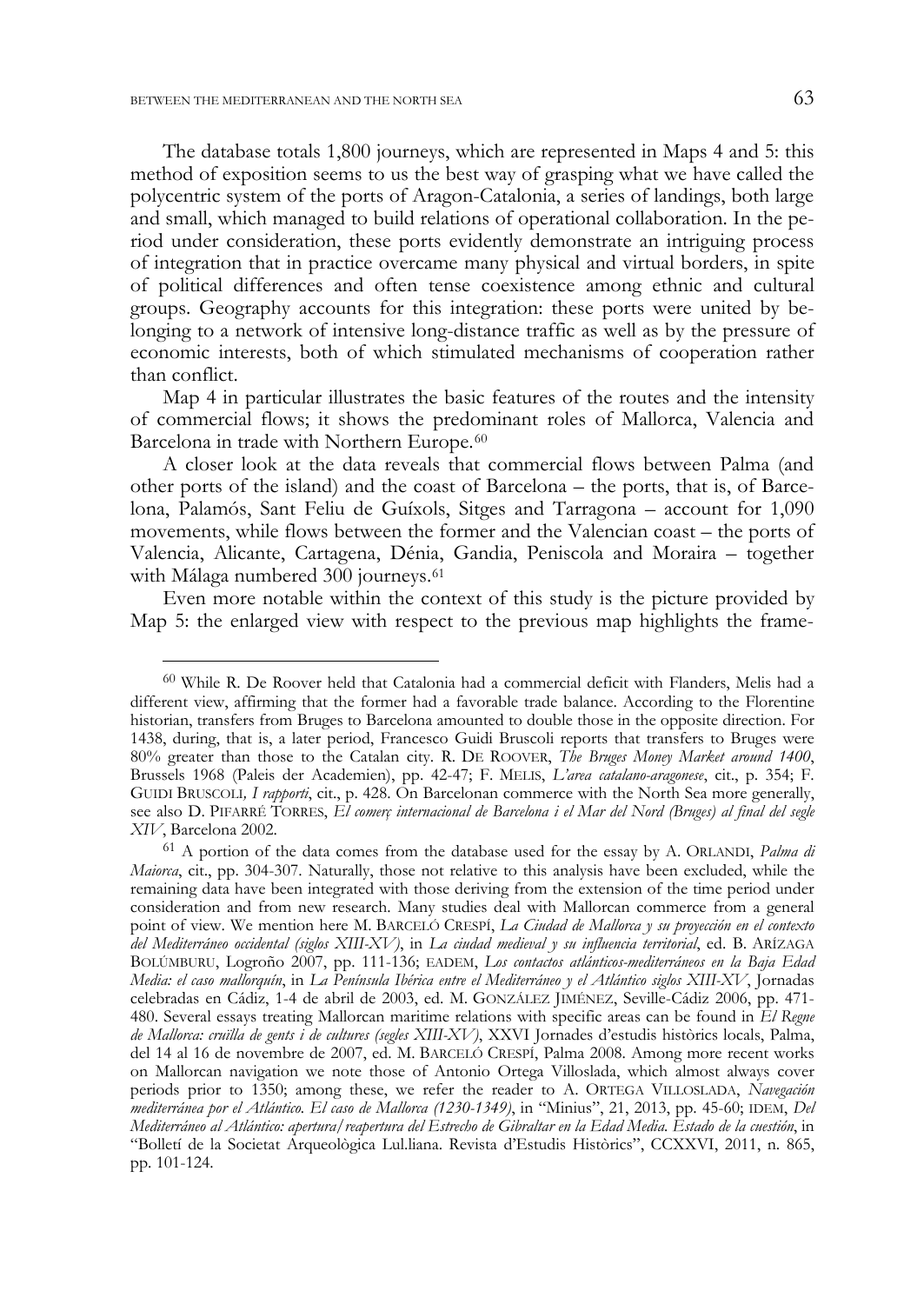j

The database totals 1,800 journeys, which are represented in Maps 4 and 5: this method of exposition seems to us the best way of grasping what we have called the polycentric system of the ports of Aragon-Catalonia, a series of landings, both large and small, which managed to build relations of operational collaboration. In the period under consideration, these ports evidently demonstrate an intriguing process of integration that in practice overcame many physical and virtual borders, in spite of political differences and often tense coexistence among ethnic and cultural groups. Geography accounts for this integration: these ports were united by belonging to a network of intensive long-distance traffic as well as by the pressure of economic interests, both of which stimulated mechanisms of cooperation rather than conflict.

Map 4 in particular illustrates the basic features of the routes and the intensity of commercial flows; it shows the predominant roles of Mallorca, Valencia and Barcelona in trade with Northern Europe.<sup>60</sup>

A closer look at the data reveals that commercial flows between Palma (and other ports of the island) and the coast of Barcelona – the ports, that is, of Barcelona, Palamós, Sant Feliu de Guíxols, Sitges and Tarragona – account for 1,090 movements, while flows between the former and the Valencian coast – the ports of Valencia, Alicante, Cartagena, Dénia, Gandia, Peniscola and Moraira – together with Málaga numbered 300 journeys.<sup>61</sup>

Even more notable within the context of this study is the picture provided by Map 5: the enlarged view with respect to the previous map highlights the frame-

<sup>60</sup> While R. De Roover held that Catalonia had a commercial deficit with Flanders, Melis had a different view, affirming that the former had a favorable trade balance. According to the Florentine historian, transfers from Bruges to Barcelona amounted to double those in the opposite direction. For 1438, during, that is, a later period, Francesco Guidi Bruscoli reports that transfers to Bruges were 80% greater than those to the Catalan city. R. DE ROOVER, *The Bruges Money Market around 1400*, Brussels 1968 (Paleis der Academien), pp. 42-47; F. MELIS, *L'area catalano-aragonese*, cit., p. 354; F. GUIDI BRUSCOLI*, I rapporti*, cit., p. 428. On Barcelonan commerce with the North Sea more generally, see also D. PIFARRÉ TORRES, *El comerç internacional de Barcelona i el Mar del Nord (Bruges) al final del segle XIV*, Barcelona 2002.

<sup>61</sup> A portion of the data comes from the database used for the essay by A. ORLANDI, *Palma di Maiorca*, cit., pp. 304-307. Naturally, those not relative to this analysis have been excluded, while the remaining data have been integrated with those deriving from the extension of the time period under consideration and from new research. Many studies deal with Mallorcan commerce from a general point of view. We mention here M. BARCELÓ CRESPÍ, *La Ciudad de Mallorca y su proyección en el contexto del Mediterráneo occidental (siglos XIII-XV)*, in *La ciudad medieval y su influencia territorial*, ed. B. ARÍZAGA BOLÚMBURU, Logroño 2007, pp. 111-136; EADEM, *Los contactos atlánticos-mediterráneos en la Baja Edad Media: el caso mallorquín*, in *La Península Ibérica entre el Mediterráneo y el Atlántico siglos XIII-XV*, Jornadas celebradas en Cádiz, 1-4 de abril de 2003, ed. M. GONZÁLEZ JIMÉNEZ, Seville-Cádiz 2006, pp. 471- 480. Several essays treating Mallorcan maritime relations with specific areas can be found in *El Regne de Mallorca: cruïlla de gents i de cultures (segles XIII-XV)*, XXVI Jornades d'estudis històrics locals, Palma, del 14 al 16 de novembre de 2007, ed. M. BARCELÓ CRESPÍ, Palma 2008. Among more recent works on Mallorcan navigation we note those of Antonio Ortega Villoslada, which almost always cover periods prior to 1350; among these, we refer the reader to A. ORTEGA VILLOSLADA, *Navegación mediterránea por el Atlántico. El caso de Mallorca (1230-1349)*, in "Minius", 21, 2013, pp. 45-60; IDEM, *Del Mediterráneo al Atlántico: apertura/reapertura del Estrecho de Gibraltar en la Edad Media. Estado de la cuestión*, in "Bolletí de la Societat Arqueològica Lul.liana. Revista d'Estudis Històrics", CCXXVI, 2011, n. 865, pp. 101-124.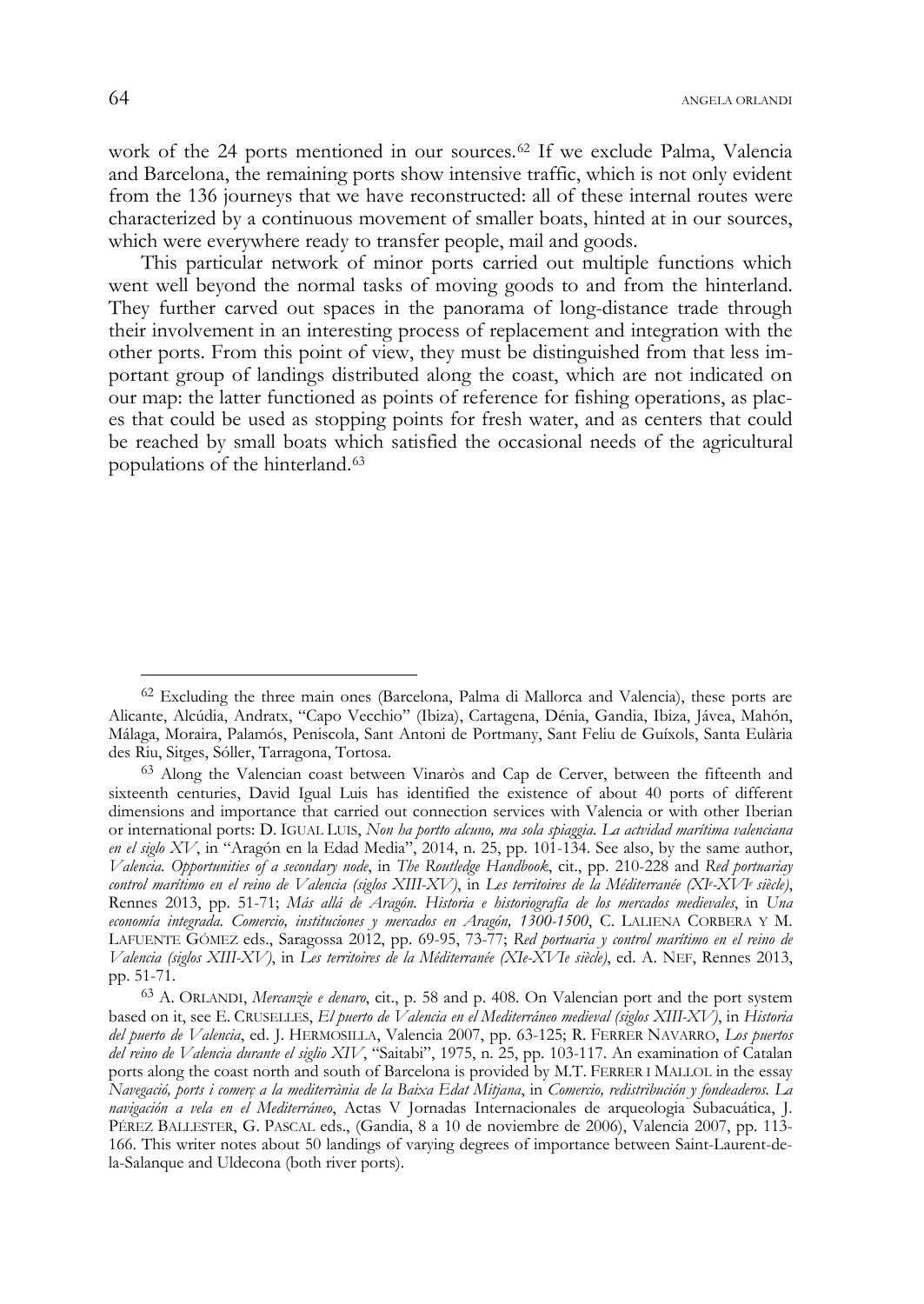work of the 24 ports mentioned in our sources.<sup>62</sup> If we exclude Palma, Valencia and Barcelona, the remaining ports show intensive traffic, which is not only evident from the 136 journeys that we have reconstructed: all of these internal routes were characterized by a continuous movement of smaller boats, hinted at in our sources, which were everywhere ready to transfer people, mail and goods.

This particular network of minor ports carried out multiple functions which went well beyond the normal tasks of moving goods to and from the hinterland. They further carved out spaces in the panorama of long-distance trade through their involvement in an interesting process of replacement and integration with the other ports. From this point of view, they must be distinguished from that less important group of landings distributed along the coast, which are not indicated on our map: the latter functioned as points of reference for fishing operations, as places that could be used as stopping points for fresh water, and as centers that could be reached by small boats which satisfied the occasional needs of the agricultural populations of the hinterland.<sup>63</sup>

<sup>62</sup> Excluding the three main ones (Barcelona, Palma di Mallorca and Valencia), these ports are Alicante, Alcúdia, Andratx, "Capo Vecchio" (Ibiza), Cartagena, Dénia, Gandia, Ibiza, Jávea, Mahón, Málaga, Moraira, Palamós, Peniscola, Sant Antoni de Portmany, Sant Feliu de Guíxols, Santa Eulària des Riu, Sitges, Sóller, Tarragona, Tortosa.

<sup>63</sup> Along the Valencian coast between Vinaròs and Cap de Cerver, between the fifteenth and sixteenth centuries, David Igual Luis has identified the existence of about 40 ports of different dimensions and importance that carried out connection services with Valencia or with other Iberian or international ports: D. IGUAL LUIS, *Non ha portto alcuno, ma sola spiaggia*. *La actvidad marítima valenciana en el siglo XV*, in "Aragón en la Edad Media", 2014, n. 25, pp. 101-134. See also, by the same author, *Valencia. Opportunities of a secondary node*, in *The Routledge Handbook*, cit., pp. 210-228 and *Red portuariay control marítimo en el reino de Valencia (siglos XIII-XV)*, in *Les territoires de la Méditerranée (XIe -XVIe siècle)*, Rennes 2013, pp. 51-71; *Más allá de Aragón. Historia e historiografía de los mercados medievales*, in *Una economía integrada. Comercio, instituciones y mercados en Aragón, 1300-1500*, C. LALIENA CORBERA Y M. LAFUENTE GÓMEZ eds., Saragossa 2012, pp. 69-95, 73-77; *Red portuaria y control marítimo en el reino de Valencia (siglos XIII-XV)*, in *Les territoires de la Méditerranée (XIe-XVIe siècle)*, ed. A. NEF, Rennes 2013, pp. 51-71.

<sup>63</sup> A. ORLANDI, *Mercanzie e denaro*, cit., p. 58 and p. 408. On Valencian port and the port system based on it, see E. CRUSELLES, *El puerto de Valencia en el Mediterráneo medieval (siglos XIII-XV)*, in *Historia del puerto de Valencia*, ed. J. HERMOSILLA, Valencia 2007, pp. 63-125; R. FERRER NAVARRO, *Los puertos del reino de Valencia durante el siglio XIV*, "Saitabi", 1975, n. 25, pp. 103-117. An examination of Catalan ports along the coast north and south of Barcelona is provided by M.T. FERRER I MALLOL in the essay *Navegació, ports i comerç a la mediterrània de la Baixa Edat Mitjana*, in *Comercio, redistribución y fondeaderos. La navigación a vela en el Mediterráneo*, Actas V Jornadas Internacionales de arqueologia Subacuática, J. PÉREZ BALLESTER, G. PASCAL eds., (Gandia, 8 a 10 de noviembre de 2006), Valencia 2007, pp. 113- 166. This writer notes about 50 landings of varying degrees of importance between Saint-Laurent-dela-Salanque and Uldecona (both river ports).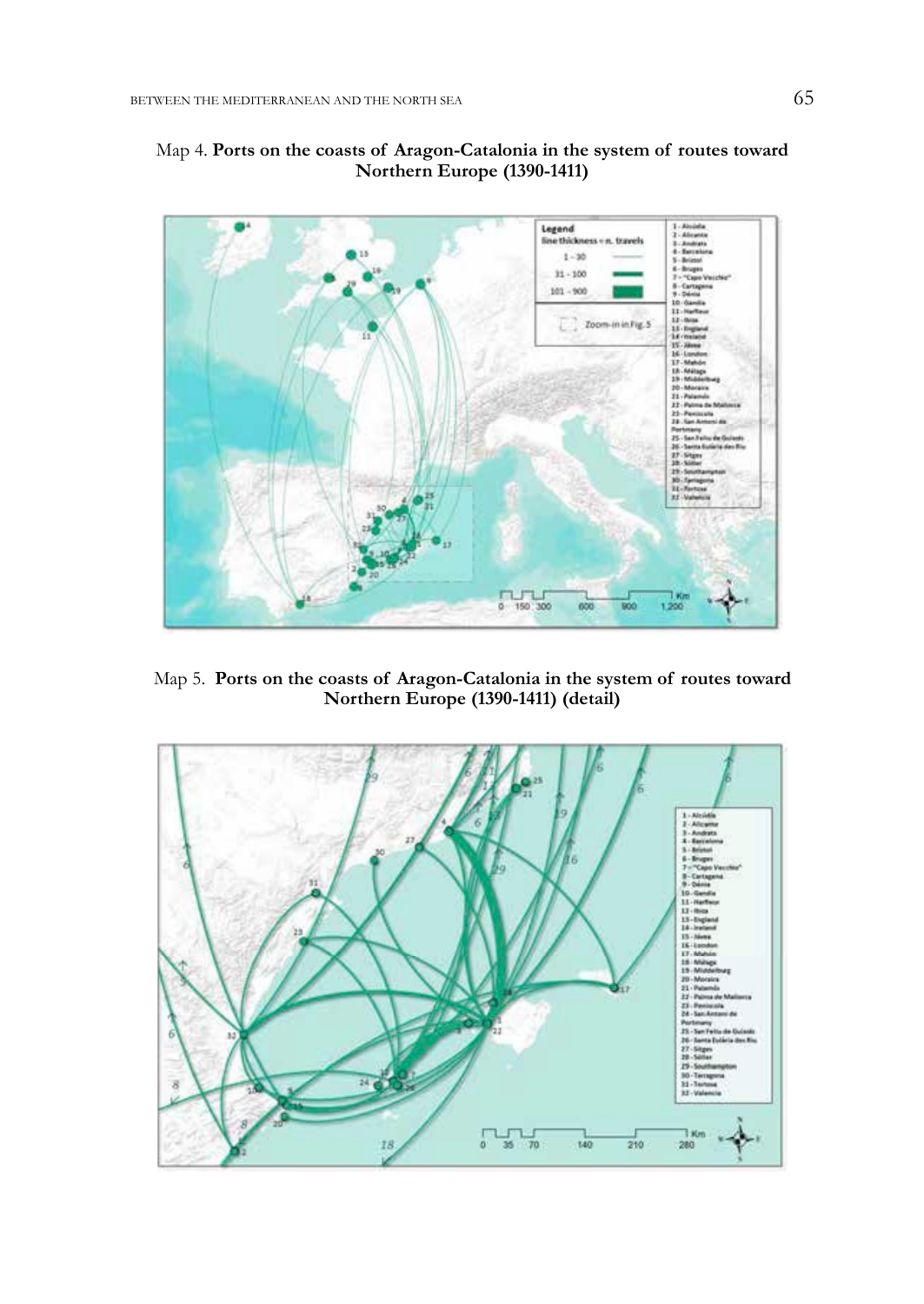

# Map 4. **Ports on the coasts of Aragon-Catalonia in the system of routes toward Northern Europe (1390-1411)**

Map 5. **Ports on the coasts of Aragon-Catalonia in the system of routes toward Northern Europe (1390-1411) (detail)** 

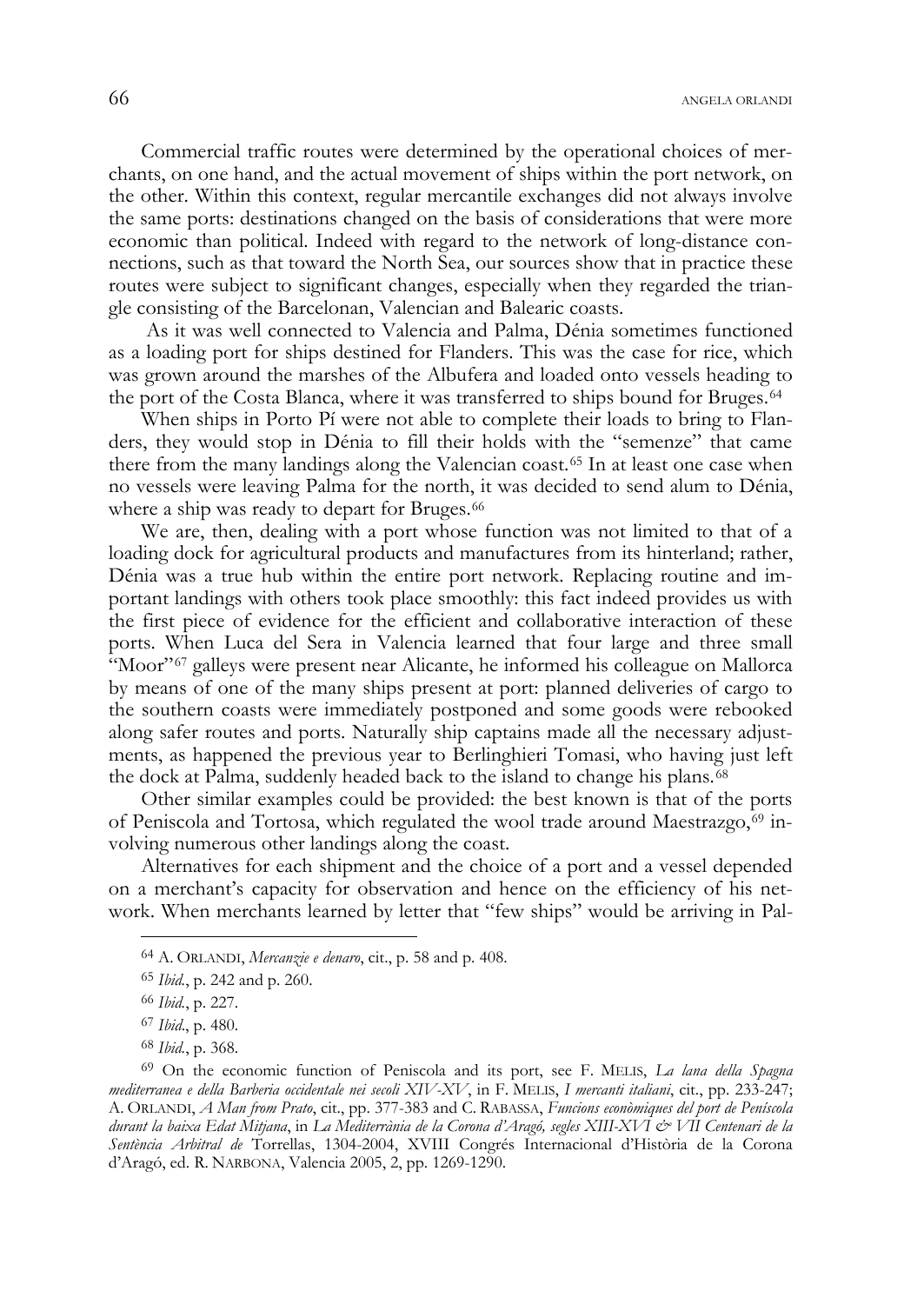Commercial traffic routes were determined by the operational choices of merchants, on one hand, and the actual movement of ships within the port network, on the other. Within this context, regular mercantile exchanges did not always involve the same ports: destinations changed on the basis of considerations that were more economic than political. Indeed with regard to the network of long-distance connections, such as that toward the North Sea, our sources show that in practice these routes were subject to significant changes, especially when they regarded the triangle consisting of the Barcelonan, Valencian and Balearic coasts.

 As it was well connected to Valencia and Palma, Dénia sometimes functioned as a loading port for ships destined for Flanders. This was the case for rice, which was grown around the marshes of the Albufera and loaded onto vessels heading to the port of the Costa Blanca, where it was transferred to ships bound for Bruges.<sup>64</sup>

When ships in Porto Pí were not able to complete their loads to bring to Flanders, they would stop in Dénia to fill their holds with the "semenze" that came there from the many landings along the Valencian coast.<sup>65</sup> In at least one case when no vessels were leaving Palma for the north, it was decided to send alum to Dénia, where a ship was ready to depart for Bruges.<sup>66</sup>

We are, then, dealing with a port whose function was not limited to that of a loading dock for agricultural products and manufactures from its hinterland; rather, Dénia was a true hub within the entire port network. Replacing routine and important landings with others took place smoothly: this fact indeed provides us with the first piece of evidence for the efficient and collaborative interaction of these ports. When Luca del Sera in Valencia learned that four large and three small "Moor"<sup>67</sup> galleys were present near Alicante, he informed his colleague on Mallorca by means of one of the many ships present at port: planned deliveries of cargo to the southern coasts were immediately postponed and some goods were rebooked along safer routes and ports. Naturally ship captains made all the necessary adjustments, as happened the previous year to Berlinghieri Tomasi, who having just left the dock at Palma, suddenly headed back to the island to change his plans.<sup>68</sup>

Other similar examples could be provided: the best known is that of the ports of Peniscola and Tortosa, which regulated the wool trade around Maestrazgo,<sup>69</sup> involving numerous other landings along the coast.

Alternatives for each shipment and the choice of a port and a vessel depended on a merchant's capacity for observation and hence on the efficiency of his network. When merchants learned by letter that "few ships" would be arriving in Pal-

<sup>64</sup> A. ORLANDI, *Mercanzie e denaro*, cit., p. 58 and p. 408.

<sup>65</sup> *Ibid.*, p. 242 and p. 260.

<sup>66</sup> *Ibid.*, p. 227.

<sup>67</sup> *Ibid*., p. 480.

<sup>68</sup> *Ibid.*, p. 368.

<sup>69</sup> On the economic function of Peniscola and its port, see F. MELIS, *La lana della Spagna mediterranea e della Barberia occidentale nei secoli XIV-XV*, in F. MELIS, *I mercanti italiani*, cit., pp. 233-247; A. ORLANDI, *A Man from Prato*, cit., pp. 377-383 and C. RABASSA, *Funcions econòmiques del port de Peníscola durant la baixa Edat Mitjana*, in *La Mediterrània de la Corona d'Aragó, segles XIII-XVI & VII Centenari de la Sentència Arbitral de* Torrellas, 1304-2004, XVIII Congrés Internacional d'Història de la Corona d'Aragó, ed. R. NARBONA, Valencia 2005, 2, pp. 1269-1290.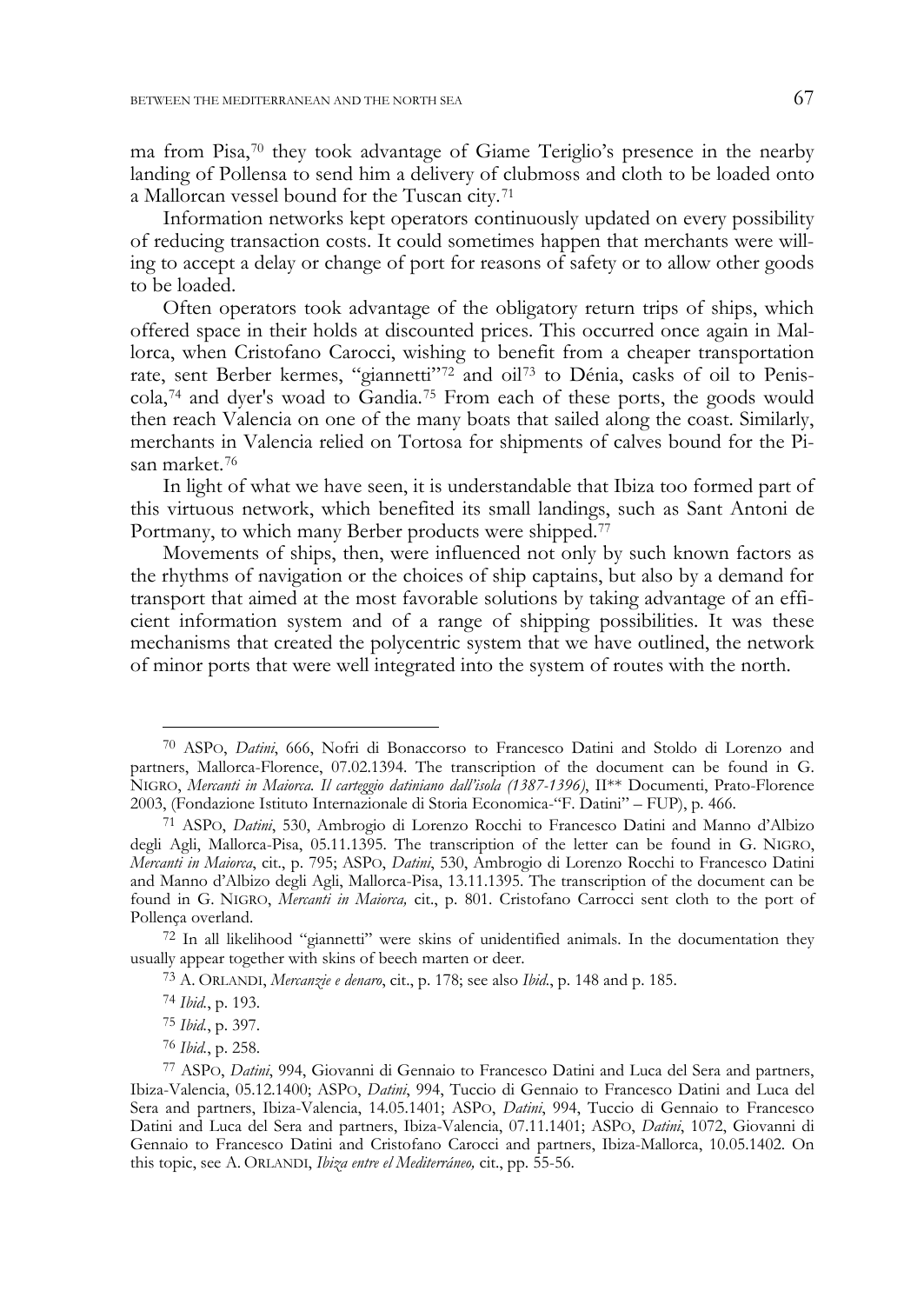ma from Pisa,<sup>70</sup> they took advantage of Giame Teriglio's presence in the nearby landing of Pollensa to send him a delivery of clubmoss and cloth to be loaded onto a Mallorcan vessel bound for the Tuscan city.<sup>71</sup>

Information networks kept operators continuously updated on every possibility of reducing transaction costs. It could sometimes happen that merchants were willing to accept a delay or change of port for reasons of safety or to allow other goods to be loaded.

Often operators took advantage of the obligatory return trips of ships, which offered space in their holds at discounted prices. This occurred once again in Mallorca, when Cristofano Carocci, wishing to benefit from a cheaper transportation rate, sent Berber kermes, "giannetti"<sup>72</sup> and oil<sup>73</sup> to Dénia, casks of oil to Peniscola,<sup>74</sup> and dyer's woad to Gandia.<sup>75</sup> From each of these ports, the goods would then reach Valencia on one of the many boats that sailed along the coast. Similarly, merchants in Valencia relied on Tortosa for shipments of calves bound for the Pisan market.<sup>76</sup>

In light of what we have seen, it is understandable that Ibiza too formed part of this virtuous network, which benefited its small landings, such as Sant Antoni de Portmany, to which many Berber products were shipped.<sup>77</sup>

Movements of ships, then, were influenced not only by such known factors as the rhythms of navigation or the choices of ship captains, but also by a demand for transport that aimed at the most favorable solutions by taking advantage of an efficient information system and of a range of shipping possibilities. It was these mechanisms that created the polycentric system that we have outlined, the network of minor ports that were well integrated into the system of routes with the north.

<sup>70</sup> ASPO, *Datini*, 666, Nofri di Bonaccorso to Francesco Datini and Stoldo di Lorenzo and partners, Mallorca-Florence, 07.02.1394. The transcription of the document can be found in G. NIGRO, *Mercanti in Maiorca. Il carteggio datiniano dall'isola (1387-1396)*, II\*\* Documenti, Prato-Florence 2003, (Fondazione Istituto Internazionale di Storia Economica-"F. Datini" – FUP), p. 466.

<sup>71</sup> ASPO, *Datini*, 530, Ambrogio di Lorenzo Rocchi to Francesco Datini and Manno d'Albizo degli Agli, Mallorca-Pisa, 05.11.1395. The transcription of the letter can be found in G. NIGRO, *Mercanti in Maiorca*, cit., p. 795; ASPO, *Datini*, 530, Ambrogio di Lorenzo Rocchi to Francesco Datini and Manno d'Albizo degli Agli, Mallorca-Pisa, 13.11.1395. The transcription of the document can be found in G. NIGRO, *Mercanti in Maiorca,* cit., p. 801. Cristofano Carrocci sent cloth to the port of Pollença overland.

<sup>72</sup> In all likelihood "giannetti" were skins of unidentified animals. In the documentation they usually appear together with skins of beech marten or deer.

<sup>73</sup> A. ORLANDI, *Mercanzie e denaro*, cit., p. 178; see also *Ibid.*, p. 148 and p. 185.

<sup>74</sup> *Ibid.*, p. 193.

<sup>75</sup> *Ibid.*, p. 397.

<sup>76</sup> *Ibid.*, p. 258.

<sup>77</sup> ASPO, *Datini*, 994, Giovanni di Gennaio to Francesco Datini and Luca del Sera and partners, Ibiza-Valencia, 05.12.1400; ASPO, *Datini*, 994, Tuccio di Gennaio to Francesco Datini and Luca del Sera and partners, Ibiza-Valencia, 14.05.1401; ASPO, *Datini*, 994, Tuccio di Gennaio to Francesco Datini and Luca del Sera and partners, Ibiza-Valencia, 07.11.1401; ASPO, *Datini*, 1072, Giovanni di Gennaio to Francesco Datini and Cristofano Carocci and partners, Ibiza-Mallorca, 10.05.1402. On this topic, see A. ORLANDI, *Ibiza entre el Mediterráneo,* cit., pp. 55-56.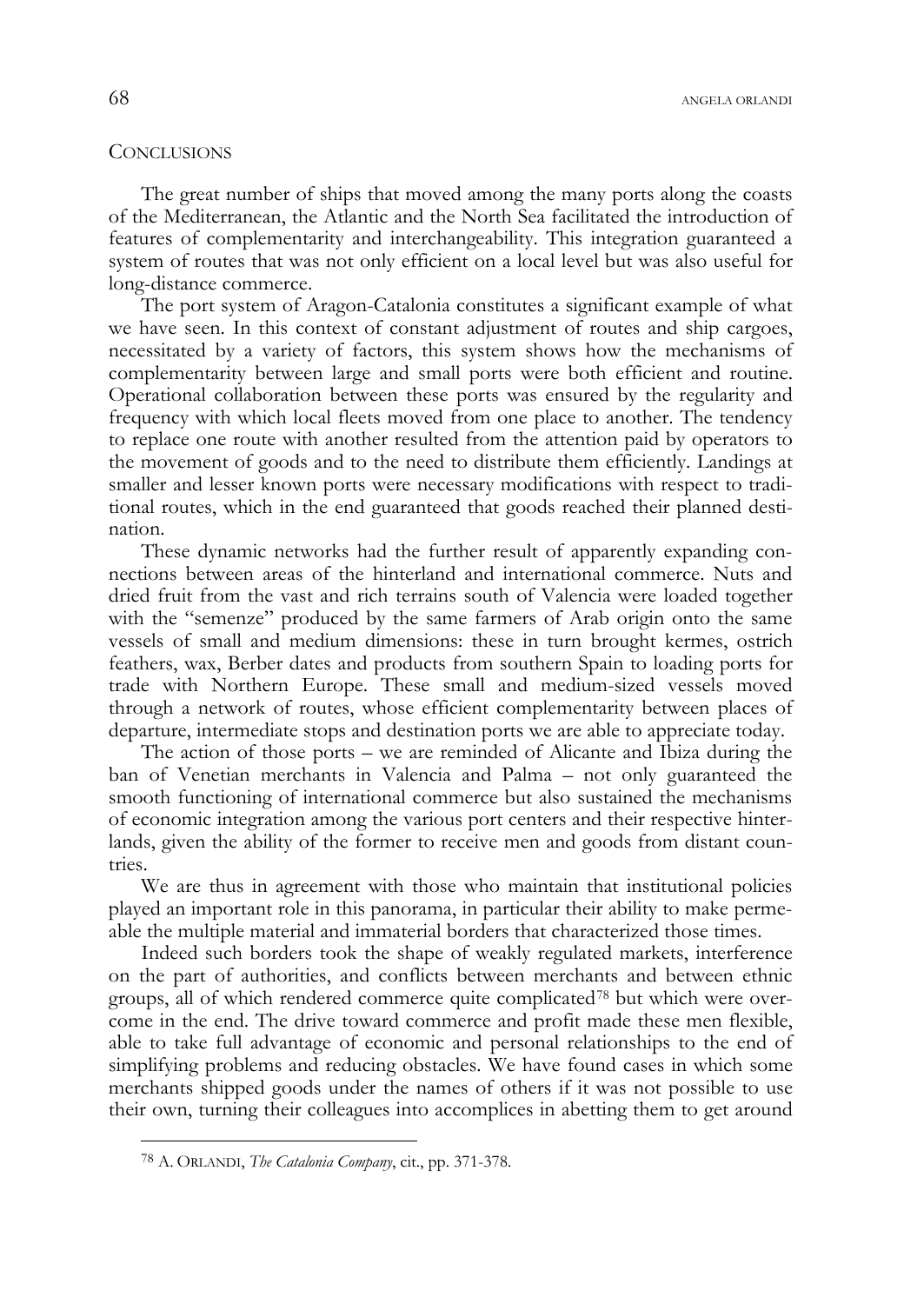## **CONCLUSIONS**

The great number of ships that moved among the many ports along the coasts of the Mediterranean, the Atlantic and the North Sea facilitated the introduction of features of complementarity and interchangeability. This integration guaranteed a system of routes that was not only efficient on a local level but was also useful for long-distance commerce.

The port system of Aragon-Catalonia constitutes a significant example of what we have seen. In this context of constant adjustment of routes and ship cargoes, necessitated by a variety of factors, this system shows how the mechanisms of complementarity between large and small ports were both efficient and routine. Operational collaboration between these ports was ensured by the regularity and frequency with which local fleets moved from one place to another. The tendency to replace one route with another resulted from the attention paid by operators to the movement of goods and to the need to distribute them efficiently. Landings at smaller and lesser known ports were necessary modifications with respect to traditional routes, which in the end guaranteed that goods reached their planned destination.

These dynamic networks had the further result of apparently expanding connections between areas of the hinterland and international commerce. Nuts and dried fruit from the vast and rich terrains south of Valencia were loaded together with the "semenze" produced by the same farmers of Arab origin onto the same vessels of small and medium dimensions: these in turn brought kermes, ostrich feathers, wax, Berber dates and products from southern Spain to loading ports for trade with Northern Europe. These small and medium-sized vessels moved through a network of routes, whose efficient complementarity between places of departure, intermediate stops and destination ports we are able to appreciate today.

The action of those ports – we are reminded of Alicante and Ibiza during the ban of Venetian merchants in Valencia and Palma – not only guaranteed the smooth functioning of international commerce but also sustained the mechanisms of economic integration among the various port centers and their respective hinterlands, given the ability of the former to receive men and goods from distant countries.

We are thus in agreement with those who maintain that institutional policies played an important role in this panorama, in particular their ability to make permeable the multiple material and immaterial borders that characterized those times.

Indeed such borders took the shape of weakly regulated markets, interference on the part of authorities, and conflicts between merchants and between ethnic groups, all of which rendered commerce quite complicated<sup>78</sup> but which were overcome in the end. The drive toward commerce and profit made these men flexible, able to take full advantage of economic and personal relationships to the end of simplifying problems and reducing obstacles. We have found cases in which some merchants shipped goods under the names of others if it was not possible to use their own, turning their colleagues into accomplices in abetting them to get around

<sup>78</sup> A. ORLANDI, *The Catalonia Company*, cit., pp. 371-378.